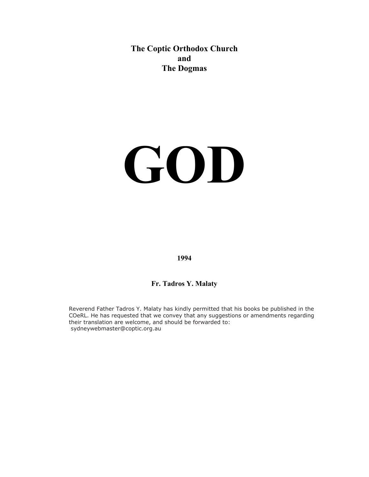**The Coptic Orthodox Church and The Dogmas** 

# **GOD**

**1994**

# **Fr. Tadros Y. Malaty**

Reverend Father Tadros Y. Malaty has kindly permitted that his books be published in the COeRL. He has requested that we convey that any suggestions or amendments regarding their translation are welcome, and should be forwarded to: sydneywebmaster@coptic.org.au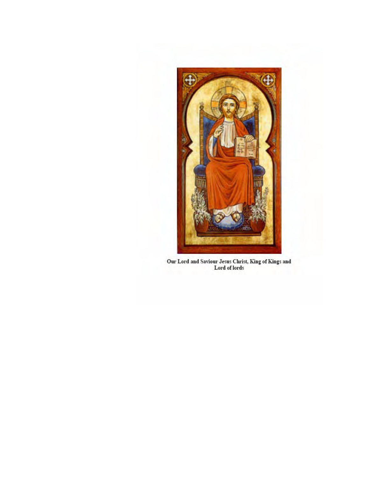

Our Lord and Saviour Jesus Christ, King of Kings and<br>Lord of lords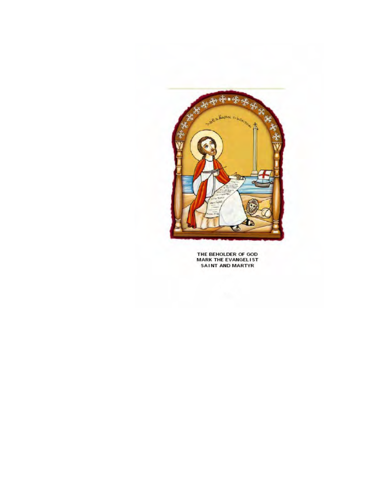

THE BEHOLDER OF GOD **MARK THE EVANGELIST** SAINT AND MARTYR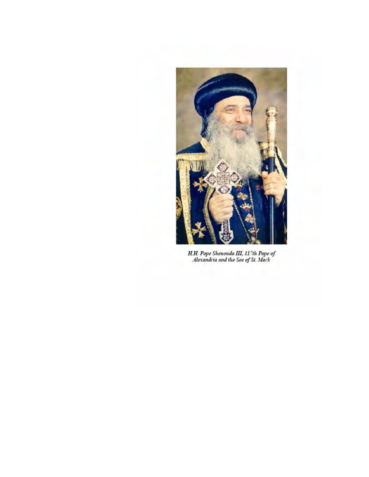

H.H. Pope Shenouda III, 117th Pope of<br>Alexandria and the See of St. Mark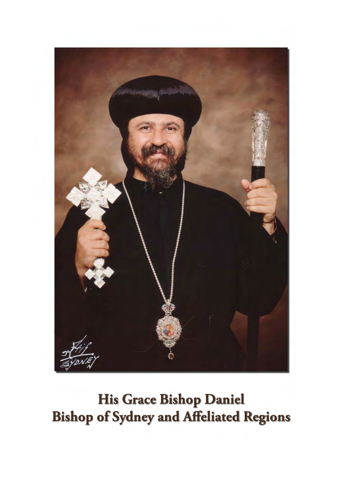

His Grace Bishop Daniel **Bishop of Sydney and Affeliated Regions**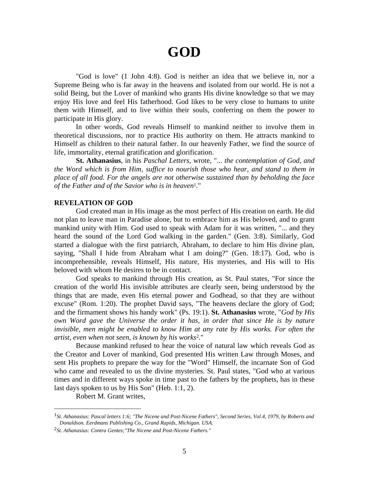# **GOD**

 "God is love" (1 John 4:8). God is neither an idea that we believe in, nor a Supreme Being who is far away in the heavens and isolated from our world. He is not a solid Being, but the Lover of mankind who grants His divine knowledge so that we may enjoy His love and feel His fatherhood. God likes to be very close to humans to unite them with Himself, and to live within their souls, conferring on them the power to participate in His glory.

 In other words, God reveals Himself to mankind neither to involve them in theoretical discussions, nor to practice His authority on them. He attracts mankind to Himself as children to their natural father. In our heavenly Father, we find the source of life, immortality, eternal gratification and glorification.

**St. Athanasius**, in his *Paschal Letters*, wrote, "... *the contemplation of God, and the Word which is from Him, suffice to nourish those who hear, and stand to them in place of all food. For the angels are not otherwise sustained than by beholding the face of the Father and of the Savior who is in heaven*1*.*"

# **REVELATION OF GOD**

 God created man in His image as the most perfect of His creation on earth. He did not plan to leave man in Paradise alone, but to embrace him as His beloved, and to grant mankind unity with Him. God used to speak with Adam for it was written, "... and they heard the sound of the Lord God walking in the garden." (Gen. 3:8). Similarly, God started a dialogue with the first patriarch, Abraham, to declare to him His divine plan, saying, "Shall I hide from Abraham what I am doing?" (Gen. 18:17). God, who is incomprehensible, reveals Himself, His nature, His mysteries, and His will to His beloved with whom He desires to be in contact.

 God speaks to mankind through His creation, as St. Paul states, "For since the creation of the world His invisible attributes are clearly seen, being understood by the things that are made, even His eternal power and Godhead, so that they are without excuse" (Rom. 1:20). The prophet David says, "The heavens declare the glory of God; and the firmament shows his handy work" (Ps. 19:1). **St. Athanasius** wrote, "*God by His own Word gave the Universe the order it has, in order that since He is by nature invisible, men might be enabled to know Him at any rate by His works. For often the artist, even when not seen, is known by his works*2*.*"

 Because mankind refused to hear the voice of natural law which reveals God as the Creator and Lover of mankind, God presented His written Law through Moses, and sent His prophets to prepare the way for the "Word" Himself, the incarnate Son of God who came and revealed to us the divine mysteries. St. Paul states, "God who at various times and in different ways spoke in time past to the fathers by the prophets, has in these last days spoken to us by His Son" (Heb. 1:1, 2).

Robert M. Grant writes,

<sup>1</sup>*St. Athanasius: Pascal letters 1:6; "The Nicene and Post-Nicene Fathers", Second Series, Vol.4, 1979, by Roberts and Donaldson. Eerdmans Publishing Co., Grand Rapids, Michigan. USA.*

<sup>2</sup>*St. Athanasius: Contra Gentes;"The Nicene and Post-Nicene Fathers."*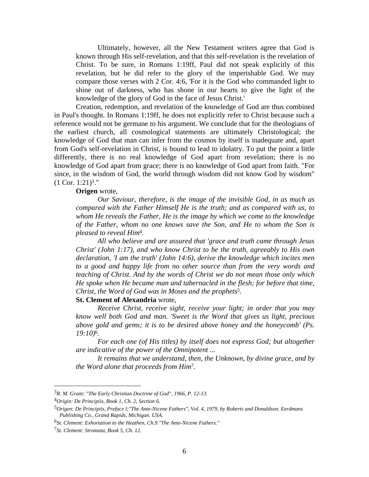Ultimately, however, all the New Testament writers agree that God is known through His self-revelation, and that this self-revelation is the revelation of Christ. To be sure, in Romans 1:19ff, Paul did not speak explicitly of this revelation, but he did refer to the glory of the imperishable God. We may compare those verses with 2 Cor. 4:6, 'For it is the God who commanded light to shine out of darkness, who has shone in our hearts to give the light of the knowledge of the glory of God in the face of Jesus Christ.'

 Creation, redemption, and revelation of the knowledge of God are thus combined in Paul's thought. In Romans 1:19ff, he does not explicitly refer to Christ because such a reference would not be germane to his argument. We conclude that for the theologians of the earliest church, all cosmological statements are ultimately Christological; the knowledge of God that man can infer from the cosmos by itself is inadequate and, apart from God's self-revelation in Christ, is bound to lead to idolatry. To put the point a little differently, there is no real knowledge of God apart from revelation; there is no knowledge of God apart from grace; there is no knowledge of God apart from faith. "For since, in the wisdom of God, the world through wisdom did not know God by wisdom"  $(1 \text{ Cor. } 1:21)^3$ ."

# **Origen** wrote,

 *Our Saviour, therefore, is the image of the invisible God, in as much as compared with the Father Himself He is the truth; and as compared with us, to whom He reveals the Father, He is the image by which we come to the knowledge of the Father, whom no one knows save the Son, and He to whom the Son is pleased to reveal Him*4*.*

*All who believe and are assured that 'grace and truth came through Jesus Christ' (John 1:17), and who know Christ to be the truth, agreeably to His own declaration, 'I am the truth' (John 14:6), derive the knowledge which incites men to a good and happy life from no other source than from the very words and teaching of Christ. And by the words of Christ we do not mean those only which He spoke when He became man and tabernacled in the flesh; for before that time, Christ, the Word of God was in Moses and the prophets*5.

### **St. Clement of Alexandria** wrote,

*Receive Christ, receive sight, receive your light; in order that you may know well both God and man. 'Sweet is the Word that gives us light, precious above gold and gems; it is to be desired above honey and the honeycomb' (Ps. 19:10)*6*.*

*For each one (of His titles) by itself does not express God; but altogether are indicative of the power of the Omnipotent ...* 

 *It remains that we understand, then, the Unknown, by divine grace, and by the Word alone that proceeds from Him*7*.*

<u>.</u>

<sup>3</sup>*R. M. Grant: "The Early Christian Doctrine of God", 1966, P. 12-13.*

<sup>4</sup>*Origin: De Principiis, Book 1, Ch. 2, Section 6.*

<sup>5</sup>*Origen: De Principiis, Preface l;"The Ante-Nicene Fathers", Vol. 4, 1979, by Roberts and Donaldson. Eerdmans Publishing Co., Grand Rapids, Michigan. USA.*

<sup>6</sup>*St. Clement: Exhortation to the Heathen, Ch.9."The Ante-Nicene Fathers."*

<sup>7</sup>*St. Clement: Stromata, Book 5, Ch. 12.*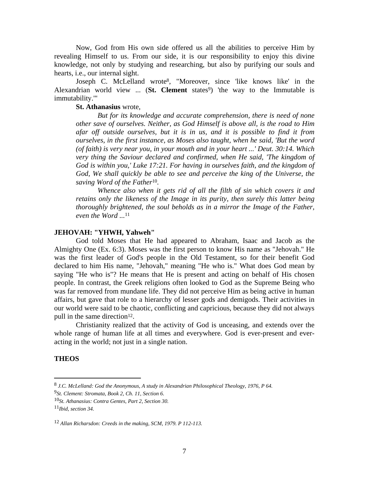Now, God from His own side offered us all the abilities to perceive Him by revealing Himself to us. From our side, it is our responsibility to enjoy this divine knowledge, not only by studying and researching, but also by purifying our souls and hearts, i.e., our internal sight.

 Joseph C. McLelland wrote8, "Moreover, since 'like knows like' in the Alexandrian world view ... (**St. Clement** states<sup>9</sup>) 'the way to the Immutable is immutability.'"

# **St. Athanasius** wrote,

 *But for its knowledge and accurate comprehension, there is need of none other save of ourselves. Neither, as God Himself is above all, is the road to Him afar off outside ourselves, but it is in us, and it is possible to find it from ourselves, in the first instance, as Moses also taught, when he said, 'But the word (of faith) is very near you, in your mouth and in your heart ...' Deut. 30:14. Which very thing the Saviour declared and confirmed, when He said, 'The kingdom of God is within you,' Luke 17:21. For having in ourselves faith, and the kingdom of God, We shall quickly be able to see and perceive the king of the Universe, the saving Word of the Father*10*.*

*Whence also when it gets rid of all the filth of sin which covers it and retains only the likeness of the Image in its purity, then surely this latter being thoroughly brightened, the soul beholds as in a mirror the Image of the Father, even the Word ...*<sup>11</sup>

# **JEHOVAH: "YHWH, Yahweh"**

 God told Moses that He had appeared to Abraham, Isaac and Jacob as the Almighty One (Ex. 6:3). Moses was the first person to know His name as "Jehovah." He was the first leader of God's people in the Old Testament, so for their benefit God declared to him His name, "Jehovah," meaning "He who is." What does God mean by saying "He who is"? He means that He is present and acting on behalf of His chosen people. In contrast, the Greek religions often looked to God as the Supreme Being who was far removed from mundane life. They did not perceive Him as being active in human affairs, but gave that role to a hierarchy of lesser gods and demigods. Their activities in our world were said to be chaotic, conflicting and capricious, because they did not always pull in the same direction $12$ .

 Christianity realized that the activity of God is unceasing, and extends over the whole range of human life at all times and everywhere. God is ever-present and everacting in the world; not just in a single nation.

#### **THEOS**

<sup>8</sup> *J.C. McLelland: God the Anonymous, A study in Alexandrian Philosophical Theology, 1976, P 64.*

<sup>9</sup>*St. Clement: Stromata, Book 2, Ch. 11, Section 6.*

<sup>10</sup>*St. Athanasius: Contra Gentes, Part 2, Section 30.*

<sup>11</sup>*Ibid, section 34.* 

<sup>12</sup> *Allan Richarsdon: Creeds in the making, SCM, 1979. P 112-113.*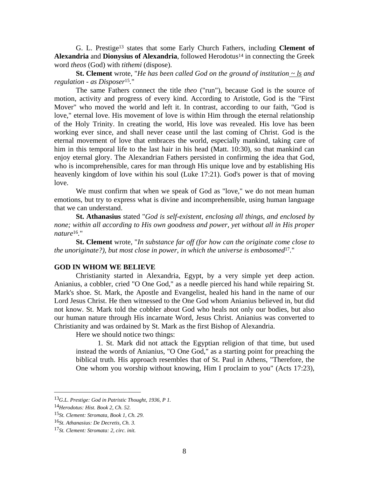G. L. Prestige13 states that some Early Church Fathers, including **Clement of**  Alexandria and Dionysius of Alexandria, followed Herodotus<sup>14</sup> in connecting the Greek word *theos* (God) with *tithemi* (dispose).

**St. Clement** wrote, "*He has been called God on the ground of institution ~ ls and regulation - as Disposer*15*.*"

 The same Fathers connect the title *theo* ("run"), because God is the source of motion, activity and progress of every kind. According to Aristotle, God is the "First Mover" who moved the world and left it. In contrast, according to our faith, "God is love," eternal love. His movement of love is within Him through the eternal relationship of the Holy Trinity. In creating the world, His love was revealed. His love has been working ever since, and shall never cease until the last coming of Christ. God is the eternal movement of love that embraces the world, especially mankind, taking care of him in this temporal life to the last hair in his head (Matt. 10:30), so that mankind can enjoy eternal glory. The Alexandrian Fathers persisted in confirming the idea that God, who is incomprehensible, cares for man through His unique love and by establishing His heavenly kingdom of love within his soul (Luke 17:21). God's power is that of moving love.

 We must confirm that when we speak of God as "love," we do not mean human emotions, but try to express what is divine and incomprehensible, using human language that we can understand.

 **St. Athanasius** stated "*God is self-existent, enclosing all things, and enclosed by none; within all according to His own goodness and power, yet without all in His proper nature*16*.*"

 **St. Clement** wrote, "*In substance far off (for how can the originate come close to the unoriginate?), but most close in power, in which the universe is embosomed*17*.*"

#### **GOD IN WHOM WE BELIEVE**

 Christianity started in Alexandria, Egypt, by a very simple yet deep action. Anianius, a cobbler, cried "O One God," as a needle pierced his hand while repairing St. Mark's shoe. St. Mark, the Apostle and Evangelist, healed his hand in the name of our Lord Jesus Christ. He then witnessed to the One God whom Anianius believed in, but did not know. St. Mark told the cobbler about God who heals not only our bodies, but also our human nature through His incarnate Word, Jesus Christ. Anianius was converted to Christianity and was ordained by St. Mark as the first Bishop of Alexandria.

Here we should notice two things:

 1. St. Mark did not attack the Egyptian religion of that time, but used instead the words of Anianius, "O One God," as a starting point for preaching the biblical truth. His approach resembles that of St. Paul in Athens, "Therefore, the One whom you worship without knowing, Him I proclaim to you" (Acts 17:23),

<u>.</u>

<sup>13</sup>*G.L. Prestige: God in Patristic Thought, 1936, P 1.*

<sup>14</sup>*Herodotus: Hist. Book 2, Ch. 52.*

<sup>15</sup>*St. Clement: Stromata, Book 1, Ch. 29.*

<sup>16</sup>*St. Athanasius: De Decretis, Ch. 3.*

<sup>17</sup>*St. Clement: Stromata: 2, circ. init.*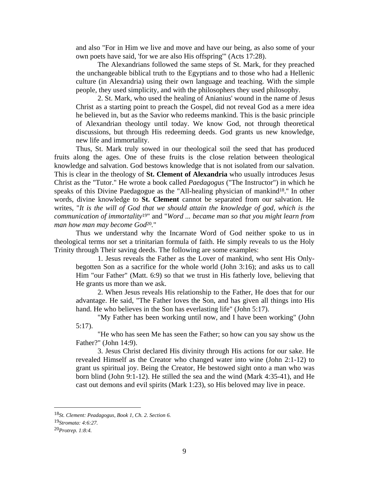and also "For in Him we live and move and have our being, as also some of your own poets have said, 'for we are also His offspring'" (Acts 17:28).

 The Alexandrians followed the same steps of St. Mark, for they preached the unchangeable biblical truth to the Egyptians and to those who had a Hellenic culture (in Alexandria) using their own language and teaching. With the simple people, they used simplicity, and with the philosophers they used philosophy.

 2. St. Mark, who used the healing of Anianius' wound in the name of Jesus Christ as a starting point to preach the Gospel, did not reveal God as a mere idea he believed in, but as the Savior who redeems mankind. This is the basic principle of Alexandrian theology until today. We know God, not through theoretical discussions, but through His redeeming deeds. God grants us new knowledge, new life and immortality.

 Thus, St. Mark truly sowed in our theological soil the seed that has produced fruits along the ages. One of these fruits is the close relation between theological knowledge and salvation. God bestows knowledge that is not isolated from our salvation. This is clear in the theology of **St. Clement of Alexandria** who usually introduces Jesus Christ as the "Tutor." He wrote a book called *Paedagogus* ("The Instructor") in which he speaks of this Divine Paedagogue as the "All-healing physician of mankind<sup>18</sup>." In other words, divine knowledge to **St. Clement** cannot be separated from our salvation. He writes, "*It is the will of God that we should attain the knowledge of god, which is the communication of immortality*19" and "*Word ... became man so that you might learn from man how man may become God*20*.*"

 Thus we understand why the Incarnate Word of God neither spoke to us in theological terms nor set a trinitarian formula of faith. He simply reveals to us the Holy Trinity through Their saving deeds. The following are some examples:

 1. Jesus reveals the Father as the Lover of mankind, who sent His Onlybegotten Son as a sacrifice for the whole world (John 3:16); and asks us to call Him "our Father" (Matt. 6:9) so that we trust in His fatherly love, believing that He grants us more than we ask.

 2. When Jesus reveals His relationship to the Father, He does that for our advantage. He said, "The Father loves the Son, and has given all things into His hand. He who believes in the Son has everlasting life" (John 5:17).

 "My Father has been working until now, and I have been working" (John 5:17).

 "He who has seen Me has seen the Father; so how can you say show us the Father?" (John 14:9).

 3. Jesus Christ declared His divinity through His actions for our sake. He revealed Himself as the Creator who changed water into wine (John 2:1-12) to grant us spiritual joy. Being the Creator, He bestowed sight onto a man who was born blind (John 9:1-12). He stilled the sea and the wind (Mark 4:35-41), and He cast out demons and evil spirits (Mark 1:23), so His beloved may live in peace.

<sup>18</sup>*St. Clement: Peadagogus, Book 1, Ch. 2. Section 6.*

<sup>19</sup>*Stromata: 4:6:27.* 

<sup>20</sup>*Protrep. 1:8:4.*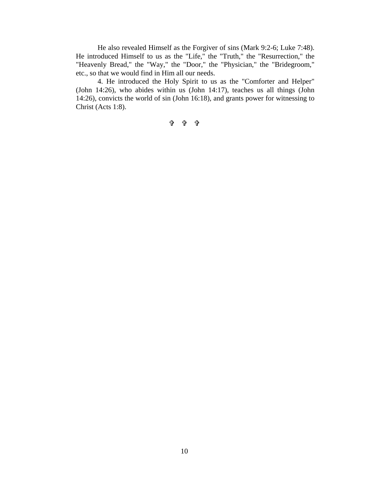He also revealed Himself as the Forgiver of sins (Mark 9:2-6; Luke 7:48). He introduced Himself to us as the "Life," the "Truth," the "Resurrection," the "Heavenly Bread," the "Way," the "Door," the "Physician," the "Bridegroom," etc., so that we would find in Him all our needs.

 4. He introduced the Holy Spirit to us as the "Comforter and Helper" (John 14:26), who abides within us (John 14:17), teaches us all things (John 14:26), convicts the world of sin (John 16:18), and grants power for witnessing to Christ (Acts 1:8).

÷ ÷ ÷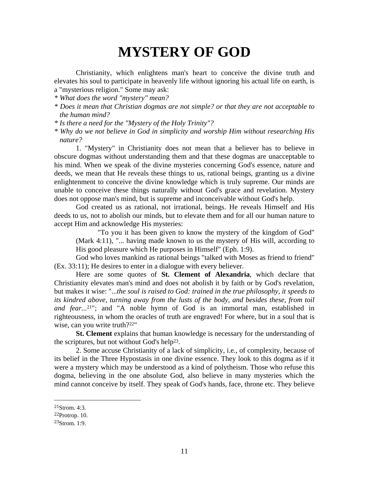# **MYSTERY OF GOD**

 Christianity, which enlightens man's heart to conceive the divine truth and elevates his soul to participate in heavenly life without ignoring his actual life on earth, is a "mysterious religion." Some may ask:

*\* What does the word "mystery" mean?* 

- *\* Does it mean that Christian dogmas are not simple? or that they are not acceptable to the human mind?*
- *\* Is there a need for the "Mystery of the Holy Trinity"?*
- *\* Why do we not believe in God in simplicity and worship Him without researching His nature?*

 1. "Mystery" in Christianity does not mean that a believer has to believe in obscure dogmas without understanding them and that these dogmas are unacceptable to his mind. When we speak of the divine mysteries concerning God's essence, nature and deeds, we mean that He reveals these things to us, rational beings, granting us a divine enlightenment to conceive the divine knowledge which is truly supreme. Our minds are unable to conceive these things naturally without God's grace and revelation. Mystery does not oppose man's mind, but is supreme and inconceivable without God's help.

 God created us as rational, not irrational, beings. He reveals Himself and His deeds to us, not to abolish our minds, but to elevate them and for all our human nature to accept Him and acknowledge His mysteries:

 "To you it has been given to know the mystery of the kingdom of God" (Mark 4:11), "... having made known to us the mystery of His will, according to His good pleasure which He purposes in Himself" (Eph. 1:9).

 God who loves mankind as rational beings "talked with Moses as friend to friend" (Ex. 33:11); He desires to enter in a dialogue with every believer.

 Here are some quotes of **St. Clement of Alexandria**, which declare that Christianity elevates man's mind and does not abolish it by faith or by God's revelation, but makes it wise: "...*the soul is raised to God: trained in the true philosophy, it speeds to its kindred above, turning away from the lusts of the body, and besides these, from toil and fear...*21"; and "A noble hymn of God is an immortal man, established in righteousness, in whom the oracles of truth are engraved! For where, but in a soul that is wise, can you write truth?<sup>22"</sup>

**St. Clement** explains that human knowledge is necessary for the understanding of the scriptures, but not without God's help<sup>23</sup>.

 2. Some accuse Christianity of a lack of simplicity, i.e., of complexity, because of its belief in the Three Hypostasis in one divine essence. They look to this dogma as if it were a mystery which may be understood as a kind of polytheism. Those who refuse this dogma, believing in the one absolute God, also believe in many mysteries which the mind cannot conceive by itself. They speak of God's hands, face, throne etc. They believe

 $^{21}$ Strom. 4:3.

 $22$ Protrop. 10.

 $23$ Strom. 1:9.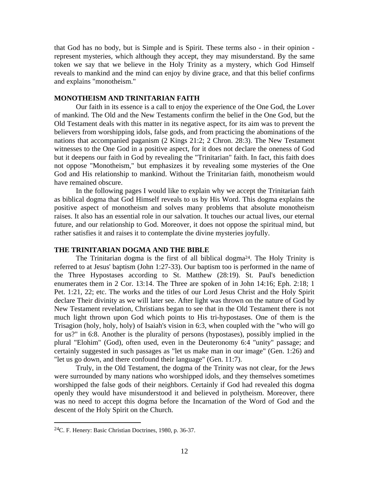that God has no body, but is Simple and is Spirit. These terms also - in their opinion represent mysteries, which although they accept, they may misunderstand. By the same token we say that we believe in the Holy Trinity as a mystery, which God Himself reveals to mankind and the mind can enjoy by divine grace, and that this belief confirms and explains "monotheism."

### **MONOTHEISM AND TRINITARIAN FAITH**

 Our faith in its essence is a call to enjoy the experience of the One God, the Lover of mankind. The Old and the New Testaments confirm the belief in the One God, but the Old Testament deals with this matter in its negative aspect, for its aim was to prevent the believers from worshipping idols, false gods, and from practicing the abominations of the nations that accompanied paganism (2 Kings 21:2; 2 Chron. 28:3). The New Testament witnesses to the One God in a positive aspect, for it does not declare the oneness of God but it deepens our faith in God by revealing the "Trinitarian" faith. In fact, this faith does not oppose "Monotheism," but emphasizes it by revealing some mysteries of the One God and His relationship to mankind. Without the Trinitarian faith, monotheism would have remained obscure.

 In the following pages I would like to explain why we accept the Trinitarian faith as biblical dogma that God Himself reveals to us by His Word. This dogma explains the positive aspect of monotheism and solves many problems that absolute monotheism raises. It also has an essential role in our salvation. It touches our actual lives, our eternal future, and our relationship to God. Moreover, it does not oppose the spiritual mind, but rather satisfies it and raises it to contemplate the divine mysteries joyfully.

#### **THE TRINITARIAN DOGMA AND THE BIBLE**

The Trinitarian dogma is the first of all biblical dogma<sup>24</sup>. The Holy Trinity is referred to at Jesus' baptism (John 1:27-33). Our baptism too is performed in the name of the Three Hypostases according to St. Matthew (28:19). St. Paul's benediction enumerates them in 2 Cor. 13:14. The Three are spoken of in John 14:16; Eph. 2:18; 1 Pet. 1:21, 22; etc. The works and the titles of our Lord Jesus Christ and the Holy Spirit declare Their divinity as we will later see. After light was thrown on the nature of God by New Testament revelation, Christians began to see that in the Old Testament there is not much light thrown upon God which points to His tri-hypostases. One of them is the Trisagion (holy, holy, holy) of Isaiah's vision in 6:3, when coupled with the "who will go for us?" in 6:8. Another is the plurality of persons (hypostases), possibly implied in the plural "Elohim" (God), often used, even in the Deuteronomy 6:4 "unity" passage; and certainly suggested in such passages as "let us make man in our image" (Gen. 1:26) and "let us go down, and there confound their language" (Gen. 11:7).

 Truly, in the Old Testament, the dogma of the Trinity was not clear, for the Jews were surrounded by many nations who worshipped idols, and they themselves sometimes worshipped the false gods of their neighbors. Certainly if God had revealed this dogma openly they would have misunderstood it and believed in polytheism. Moreover, there was no need to accept this dogma before the Incarnation of the Word of God and the descent of the Holy Spirit on the Church.

<sup>24</sup>C. F. Henery: Basic Christian Doctrines, 1980, p. 36-37.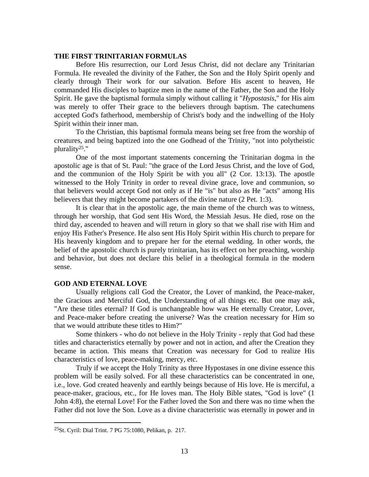# **THE FIRST TRINITARIAN FORMULAS**

 Before His resurrection, our Lord Jesus Christ, did not declare any Trinitarian Formula. He revealed the divinity of the Father, the Son and the Holy Spirit openly and clearly through Their work for our salvation. Before His ascent to heaven, He commanded His disciples to baptize men in the name of the Father, the Son and the Holy Spirit. He gave the baptismal formula simply without calling it "*Hypostasis*," for His aim was merely to offer Their grace to the believers through baptism. The catechumens accepted God's fatherhood, membership of Christ's body and the indwelling of the Holy Spirit within their inner man.

 To the Christian, this baptismal formula means being set free from the worship of creatures, and being baptized into the one Godhead of the Trinity, "not into polytheistic plurality25."

 One of the most important statements concerning the Trinitarian dogma in the apostolic age is that of St. Paul: "the grace of the Lord Jesus Christ, and the love of God, and the communion of the Holy Spirit be with you all" (2 Cor. 13:13). The apostle witnessed to the Holy Trinity in order to reveal divine grace, love and communion, so that believers would accept God not only as if He "is" but also as He "acts" among His believers that they might become partakers of the divine nature (2 Pet. 1:3).

 It is clear that in the apostolic age, the main theme of the church was to witness, through her worship, that God sent His Word, the Messiah Jesus. He died, rose on the third day, ascended to heaven and will return in glory so that we shall rise with Him and enjoy His Father's Presence. He also sent His Holy Spirit within His church to prepare for His heavenly kingdom and to prepare her for the eternal wedding. In other words, the belief of the apostolic church is purely trinitarian, has its effect on her preaching, worship and behavior, but does not declare this belief in a theological formula in the modern sense.

#### **GOD AND ETERNAL LOVE**

 Usually religions call God the Creator, the Lover of mankind, the Peace-maker, the Gracious and Merciful God, the Understanding of all things etc. But one may ask, "Are these titles eternal? If God is unchangeable how was He eternally Creator, Lover, and Peace-maker before creating the universe? Was the creation necessary for Him so that we would attribute these titles to Him?"

 Some thinkers - who do not believe in the Holy Trinity - reply that God had these titles and characteristics eternally by power and not in action, and after the Creation they became in action. This means that Creation was necessary for God to realize His characteristics of love, peace-making, mercy, etc.

 Truly if we accept the Holy Trinity as three Hypostases in one divine essence this problem will be easily solved. For all these characteristics can be concentrated in one, i.e., love. God created heavenly and earthly beings because of His love. He is merciful, a peace-maker, gracious, etc., for He loves man. The Holy Bible states, "God is love" (1 John 4:8), the eternal Love! For the Father loved the Son and there was no time when the Father did not love the Son. Love as a divine characteristic was eternally in power and in

<sup>25</sup>St. Cyril: Dial Trint. 7 PG 75:1080, Pelikan, p. 217.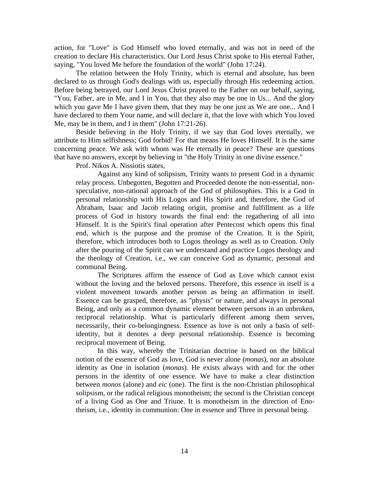action, for "Love" is God Himself who loved eternally, and was not in need of the creation to declare His characteristics. Our Lord Jesus Christ spoke to His eternal Father, saying, "You loved Me before the foundation of the world" (John 17:24).

 The relation between the Holy Trinity, which is eternal and absolute, has been declared to us through God's dealings with us, especially through His redeeming action. Before being betrayed, our Lord Jesus Christ prayed to the Father on our behalf, saying, "You, Father, are in Me, and I in You, that they also may be one in Us... And the glory which you gave Me I have given them, that they may be one just as We are one... And I have declared to them Your name, and will declare it, that the love with which You loved Me, may be in them, and I in them" (John 17:21-26).

 Beside believing in the Holy Trinity, if we say that God loves eternally, we attribute to Him selfishness; God forbid! For that means He loves Himself. It is the same concerning peace. We ask with whom was He eternally in peace? These are questions that have no answers, except by believing in "the Holy Trinity in one divine essence."

Prof. Nikos A. Nissiotis states,

 Against any kind of solipsism, Trinity wants to present God in a dynamic relay process. Unbegotten, Begotten and Proceeded denote the non-essential, nonspeculative, non-rational approach of the God of philosophies. This is a God in personal relationship with His Logos and His Spirit and, therefore, the God of Abraham, Isaac and Jacob relating origin, promise and fulfillment as a life process of God in history towards the final end: the regathering of all into Himself. It is the Spirit's final operation after Pentecost which opens this final end, which is the purpose and the promise of the Creation. It is the Spirit, therefore, which introduces both to Logos theology as well as to Creation. Only after the pouring of the Spirit can we understand and practice Logos theology and the theology of Creation, i.e., we can conceive God as dynamic, personal and communal Being.

 The Scriptures affirm the essence of God as Love which cannot exist without the loving and the beloved persons. Therefore, this essence in itself is a violent movement towards another person as being an affirmation in itself. Essence can be grasped, therefore, as "physis" or nature, and always in personal Being, and only as a common dynamic element between persons in an unbroken, reciprocal relationship. What is particularly different among them serves, necessarily, their co-belongingness. Essence as love is not only a basis of selfidentity, but it denotes a deep personal relationship. Essence is becoming reciprocal movement of Being.

 In this way, whereby the Trinitarian doctrine is based on the biblical notion of the essence of God as love, God is never alone (*monas*), nor an absolute identity as One in isolation (*monas*). He exists always with and for the other persons in the identity of one essence. We have to make a clear distinction between *monos* (alone) and *eic* (one). The first is the non-Christian philosophical solipsism, or the radical religious monotheism; the second is the Christian concept of a living God as One and Triune. It is monotheism in the direction of Enotheism, i.e., identity in communion: One in essence and Three in personal being.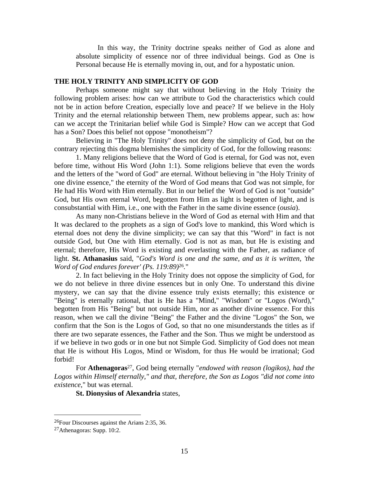In this way, the Trinity doctrine speaks neither of God as alone and absolute simplicity of essence nor of three individual beings. God as One is Personal because He is eternally moving in, out, and for a hypostatic union.

#### **THE HOLY TRINITY AND SIMPLICITY OF GOD**

 Perhaps someone might say that without believing in the Holy Trinity the following problem arises: how can we attribute to God the characteristics which could not be in action before Creation, especially love and peace? If we believe in the Holy Trinity and the eternal relationship between Them, new problems appear, such as: how can we accept the Trinitarian belief while God is Simple? How can we accept that God has a Son? Does this belief not oppose "monotheism"?

 Believing in "The Holy Trinity" does not deny the simplicity of God, but on the contrary rejecting this dogma blemishes the simplicity of God, for the following reasons:

 1. Many religions believe that the Word of God is eternal, for God was not, even before time, without His Word (John 1:1). Some religions believe that even the words and the letters of the "word of God" are eternal. Without believing in "the Holy Trinity of one divine essence," the eternity of the Word of God means that God was not simple, for He had His Word with Him eternally. But in our belief the Word of God is not "outside" God, but His own eternal Word, begotten from Him as light is begotten of light, and is consubstantial with Him, i.e., one with the Father in the same divine essence (*ousia*).

 As many non-Christians believe in the Word of God as eternal with Him and that It was declared to the prophets as a sign of God's love to mankind, this Word which is eternal does not deny the divine simplicity; we can say that this "Word" in fact is not outside God, but One with Him eternally. God is not as man, but He is existing and eternal; therefore, His Word is existing and everlasting with the Father, as radiance of light. **St. Athanasius** said, "*God's Word is one and the same, and as it is written, 'the Word of God endures forever' (Ps. 119:89)*26*.*"

 2. In fact believing in the Holy Trinity does not oppose the simplicity of God, for we do not believe in three divine essences but in only One. To understand this divine mystery, we can say that the divine essence truly exists eternally; this existence or "Being" is eternally rational, that is He has a "Mind," "Wisdom" or "Logos (Word)," begotten from His "Being" but not outside Him, nor as another divine essence. For this reason, when we call the divine "Being" the Father and the divine "Logos" the Son, we confirm that the Son is the Logos of God, so that no one misunderstands the titles as if there are two separate essences, the Father and the Son. Thus we might be understood as if we believe in two gods or in one but not Simple God. Simplicity of God does not mean that He is without His Logos, Mind or Wisdom, for thus He would be irrational; God forbid!

 For **Athenagoras**27, God being eternally "*endowed with reason (logikos), had the Logos within Himself eternally," and that, therefore, the Son as Logos "did not come into existence*," but was eternal.

**St. Dionysius of Alexandria** states,

<sup>26</sup>Four Discourses against the Arians 2:35, 36.

<sup>27</sup>Athenagoras: Supp. 10:2.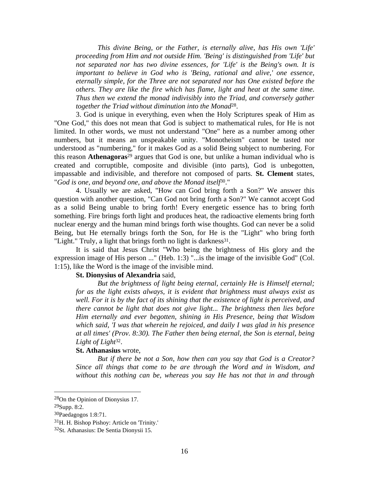*This divine Being, or the Father, is eternally alive, has His own 'Life' proceeding from Him and not outside Him. 'Being' is distinguished from 'Life' but not separated nor has two divine essences, for 'Life' is the Being's own. It is important to believe in God who is 'Being, rational and alive,' one essence, eternally simple, for the Three are not separated nor has One existed before the others. They are like the fire which has flame, light and heat at the same time. Thus then we extend the monad indivisibly into the Triad, and conversely gather together the Triad without diminution into the Monad*28.

 3. God is unique in everything, even when the Holy Scriptures speak of Him as "One God," this does not mean that God is subject to mathematical rules, for He is not limited. In other words, we must not understand "One" here as a number among other numbers, but it means an unspeakable unity. "Monotheism" cannot be tasted nor understood as "numbering," for it makes God as a solid Being subject to numbering. For this reason **Athenagoras**29 argues that God is one, but unlike a human individual who is created and corruptible, composite and divisible (into parts), God is unbegotten, impassable and indivisible, and therefore not composed of parts. **St. Clement** states, "*God is one, and beyond one, and above the Monad itself*30."

 4. Usually we are asked, "How can God bring forth a Son?" We answer this question with another question, "Can God not bring forth a Son?" We cannot accept God as a solid Being unable to bring forth! Every energetic essence has to bring forth something. Fire brings forth light and produces heat, the radioactive elements bring forth nuclear energy and the human mind brings forth wise thoughts. God can never be a solid Being, but He eternally brings forth the Son, for He is the "Light" who bring forth "Light." Truly, a light that brings forth no light is darkness<sup>31</sup>.

 It is said that Jesus Christ "Who being the brightness of His glory and the expression image of His person ..." (Heb. 1:3) "...is the image of the invisible God" (Col. 1:15), like the Word is the image of the invisible mind.

# **St. Dionysius of Alexandria** said,

 *But the brightness of light being eternal, certainly He is Himself eternal; for as the light exists always, it is evident that brightness must always exist as well. For it is by the fact of its shining that the existence of light is perceived, and there cannot be light that does not give light... The brightness then lies before Him eternally and ever begotten, shining in His Presence, being that Wisdom which said, 'I was that wherein he rejoiced, and daily I was glad in his presence at all times' (Prov. 8:30). The Father then being eternal, the Son is eternal, being Light of Light*32.

# **St. Athanasius** wrote,

*But if there be not a Son, how then can you say that God is a Creator? Since all things that come to be are through the Word and in Wisdom, and without this nothing can be, whereas you say He has not that in and through* 

<sup>28</sup>On the Opinion of Dionysius 17.

<sup>29</sup>Supp. 8:2.

<sup>30</sup>Paedagogos 1:8:71.

<sup>31</sup>H. H. Bishop Pishoy: Article on 'Trinity.'

<sup>32</sup>St. Athanasius: De Sentia Dionysii 15.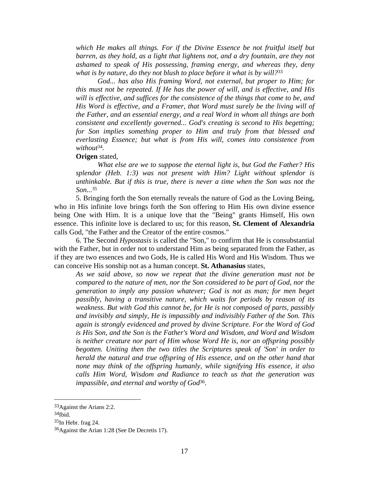*which He makes all things. For if the Divine Essence be not fruitful itself but barren, as they hold, as a light that lightens not, and a dry fountain, are they not ashamed to speak of His possessing, framing energy, and whereas they, deny what is by nature, do they not blush to place before it what is by will?*<sup>33</sup>

*God... has also His framing Word, not external, but proper to Him; for this must not be repeated. If He has the power of will, and is effective, and His will is effective, and suffices for the consistence of the things that come to be, and His Word is effective, and a Framer, that Word must surely be the living will of the Father, and an essential energy, and a real Word in whom all things are both consistent and excellently governed... God's creating is second to His begetting; for Son implies something proper to Him and truly from that blessed and everlasting Essence; but what is from His will, comes into consistence from without*34*.*

#### **Origen** stated,

 *What else are we to suppose the eternal light is, but God the Father? His splendor (Heb. 1:3) was not present with Him? Light without splendor is unthinkable. But if this is true, there is never a time when the Son was not the Son...*<sup>35</sup>

 5. Bringing forth the Son eternally reveals the nature of God as the Loving Being, who in His infinite love brings forth the Son offering to Him His own divine essence being One with Him. It is a unique love that the "Being" grants Himself, His own essence. This infinite love is declared to us; for this reason, **St. Clement of Alexandria** calls God, "the Father and the Creator of the entire cosmos."

 6. The Second *Hypostasis* is called the "Son," to confirm that He is consubstantial with the Father, but in order not to understand Him as being separated from the Father, as if they are two essences and two Gods, He is called His Word and His Wisdom. Thus we can conceive His sonship not as a human concept. **St. Athanasius** states,

*As we said above, so now we repeat that the divine generation must not be compared to the nature of men, nor the Son considered to be part of God, nor the generation to imply any passion whatever; God is not as man; for men beget passibly, having a transitive nature, which waits for periods by reason of its weakness. But with God this cannot be, for He is not composed of parts, passibly and invisibly and simply, He is impassibly and indivisibly Father of the Son. This again is strongly evidenced and proved by divine Scripture. For the Word of God is His Son, and the Son is the Father's Word and Wisdom, and Word and Wisdom is neither creature nor part of Him whose Word He is, nor an offspring possibly begotten. Uniting then the two titles the Scriptures speak of 'Son' in order to herald the natural and true offspring of His essence, and on the other hand that none may think of the offspring humanly, while signifying His essence, it also calls Him Word, Wisdom and Radiance to teach us that the generation was impassible, and eternal and worthy of God*36.

<sup>33</sup>Against the Arians 2:2.

<sup>34</sup>Ibid.

 $35$ In Hebr. frag 24.

<sup>36</sup>Against the Arian 1:28 (See De Decretis 17).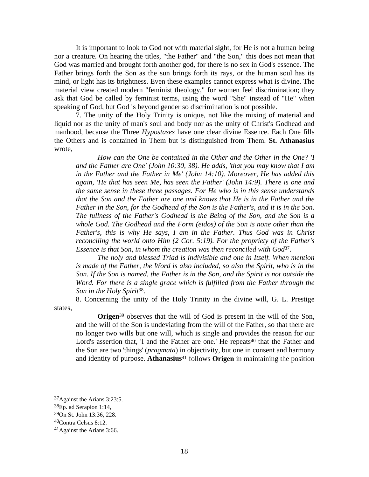It is important to look to God not with material sight, for He is not a human being nor a creature. On hearing the titles, "the Father" and "the Son," this does not mean that God was married and brought forth another god, for there is no sex in God's essence. The Father brings forth the Son as the sun brings forth its rays, or the human soul has its mind, or light has its brightness. Even these examples cannot express what is divine. The material view created modern "feminist theology," for women feel discrimination; they ask that God be called by feminist terms, using the word "She" instead of "He" when speaking of God, but God is beyond gender so discrimination is not possible.

 7. The unity of the Holy Trinity is unique, not like the mixing of material and liquid nor as the unity of man's soul and body nor as the unity of Christ's Godhead and manhood, because the Three *Hypostases* have one clear divine Essence. Each One fills the Others and is contained in Them but is distinguished from Them. **St. Athanasius** wrote,

*How can the One be contained in the Other and the Other in the One? 'I and the Father are One' (John 10:30, 38). He adds, 'that you may know that I am in the Father and the Father in Me' (John 14:10). Moreover, He has added this again, 'He that has seen Me, has seen the Father' (John 14:9). There is one and the same sense in these three passages. For He who is in this sense understands that the Son and the Father are one and knows that He is in the Father and the Father in the Son, for the Godhead of the Son is the Father's, and it is in the Son. The fullness of the Father's Godhead is the Being of the Son, and the Son is a whole God. The Godhead and the Form (eidos) of the Son is none other than the Father's, this is why He says, I am in the Father. Thus God was in Christ reconciling the world onto Him (2 Cor. 5:19). For the propriety of the Father's Essence is that Son, in whom the creation was then reconciled with God*37.

*The holy and blessed Triad is indivisible and one in Itself. When mention is made of the Father, the Word is also included, so also the Spirit, who is in the Son. If the Son is named, the Father is in the Son, and the Spirit is not outside the Word. For there is a single grace which is fulfilled from the Father through the Son in the Holy Spirit*38.

 8. Concerning the unity of the Holy Trinity in the divine will, G. L. Prestige states,

**Origen**<sup>39</sup> observes that the will of God is present in the will of the Son, and the will of the Son is undeviating from the will of the Father, so that there are no longer two wills but one will, which is single and provides the reason for our Lord's assertion that, 'I and the Father are one.' He repeats<sup>40</sup> that the Father and the Son are two 'things' (*pragmata*) in objectivity, but one in consent and harmony and identity of purpose. **Athanasius**41 follows **Origen** in maintaining the position

<sup>37</sup>Against the Arians 3:23:5.

<sup>38</sup>Ep. ad Serapion 1:14,

<sup>39</sup>On St. John 13:36, 228.

<sup>40</sup>Contra Celsus 8:12.

<sup>41</sup>Against the Arians 3:66.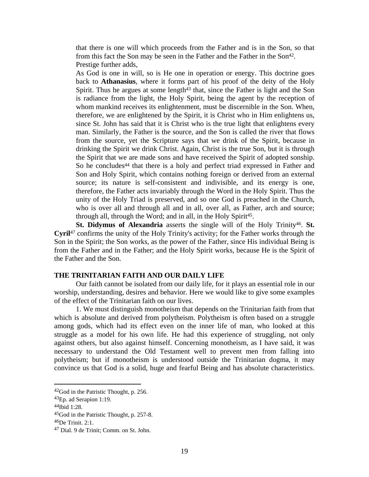that there is one will which proceeds from the Father and is in the Son, so that from this fact the Son may be seen in the Father and the Father in the Son<sup>42</sup>. Prestige further adds,

As God is one in will, so is He one in operation or energy. This doctrine goes back to **Athanasius**, where it forms part of his proof of the deity of the Holy Spirit. Thus he argues at some length $43$  that, since the Father is light and the Son is radiance from the light, the Holy Spirit, being the agent by the reception of whom mankind receives its enlightenment, must be discernible in the Son. When, therefore, we are enlightened by the Spirit, it is Christ who in Him enlightens us, since St. John has said that it is Christ who is the true light that enlightens every man. Similarly, the Father is the source, and the Son is called the river that flows from the source, yet the Scripture says that we drink of the Spirit, because in drinking the Spirit we drink Christ. Again, Christ is the true Son, but it is through the Spirit that we are made sons and have received the Spirit of adopted sonship. So he concludes<sup>44</sup> that there is a holy and perfect triad expressed in Father and Son and Holy Spirit, which contains nothing foreign or derived from an external source; its nature is self-consistent and indivisible, and its energy is one, therefore, the Father acts invariably through the Word in the Holy Spirit. Thus the unity of the Holy Triad is preserved, and so one God is preached in the Church, who is over all and through all and in all, over all, as Father, arch and source; through all, through the Word; and in all, in the Holy Spirit<sup>45</sup>.

St. Didymus of Alexandria asserts the single will of the Holy Trinity<sup>46</sup>. St. **Cyril**47 confirms the unity of the Holy Trinity's activity; for the Father works through the Son in the Spirit; the Son works, as the power of the Father, since His individual Being is from the Father and in the Father; and the Holy Spirit works, because He is the Spirit of the Father and the Son.

# **THE TRINITARIAN FAITH AND OUR DAILY LIFE**

 Our faith cannot be isolated from our daily life, for it plays an essential role in our worship, understanding, desires and behavior. Here we would like to give some examples of the effect of the Trinitarian faith on our lives.

 1. We must distinguish monotheism that depends on the Trinitarian faith from that which is absolute and derived from polytheism. Polytheism is often based on a struggle among gods, which had its effect even on the inner life of man, who looked at this struggle as a model for his own life. He had this experience of struggling, not only against others, but also against himself. Concerning monotheism, as I have said, it was necessary to understand the Old Testament well to prevent men from falling into polytheism; but if monotheism is understood outside the Trinitarian dogma, it may convince us that God is a solid, huge and fearful Being and has absolute characteristics.

<sup>42</sup>God in the Patristic Thought, p. 256.

<sup>43</sup>Ep. ad Serapion 1:19.

<sup>44</sup>Ibid 1:28.

<sup>45</sup>God in the Patristic Thought, p. 257-8.

<sup>46</sup>De Trinit. 2:1.

<sup>47</sup> Dial. 9 de Trinit; Comm. on St. John.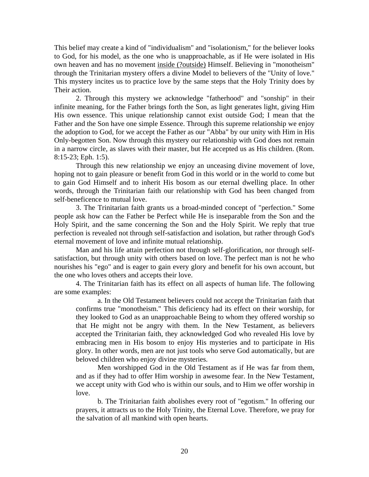This belief may create a kind of "individualism" and "isolationism," for the believer looks to God, for his model, as the one who is unapproachable, as if He were isolated in His own heaven and has no movement inside (?outside) Himself. Believing in "monotheism" through the Trinitarian mystery offers a divine Model to believers of the "Unity of love." This mystery incites us to practice love by the same steps that the Holy Trinity does by Their action.

 2. Through this mystery we acknowledge "fatherhood" and "sonship" in their infinite meaning, for the Father brings forth the Son, as light generates light, giving Him His own essence. This unique relationship cannot exist outside God; I mean that the Father and the Son have one simple Essence. Through this supreme relationship we enjoy the adoption to God, for we accept the Father as our "Abba" by our unity with Him in His Only-begotten Son. Now through this mystery our relationship with God does not remain in a narrow circle, as slaves with their master, but He accepted us as His children. (Rom. 8:15-23; Eph. 1:5).

 Through this new relationship we enjoy an unceasing divine movement of love, hoping not to gain pleasure or benefit from God in this world or in the world to come but to gain God Himself and to inherit His bosom as our eternal dwelling place. In other words, through the Trinitarian faith our relationship with God has been changed from self-beneficence to mutual love.

 3. The Trinitarian faith grants us a broad-minded concept of "perfection." Some people ask how can the Father be Perfect while He is inseparable from the Son and the Holy Spirit, and the same concerning the Son and the Holy Spirit. We reply that true perfection is revealed not through self-satisfaction and isolation, but rather through God's eternal movement of love and infinite mutual relationship.

 Man and his life attain perfection not through self-glorification, nor through selfsatisfaction, but through unity with others based on love. The perfect man is not he who nourishes his "ego" and is eager to gain every glory and benefit for his own account, but the one who loves others and accepts their love.

 4. The Trinitarian faith has its effect on all aspects of human life. The following are some examples:

 a. In the Old Testament believers could not accept the Trinitarian faith that confirms true "monotheism." This deficiency had its effect on their worship, for they looked to God as an unapproachable Being to whom they offered worship so that He might not be angry with them. In the New Testament, as believers accepted the Trinitarian faith, they acknowledged God who revealed His love by embracing men in His bosom to enjoy His mysteries and to participate in His glory. In other words, men are not just tools who serve God automatically, but are beloved children who enjoy divine mysteries.

 Men worshipped God in the Old Testament as if He was far from them, and as if they had to offer Him worship in awesome fear. In the New Testament, we accept unity with God who is within our souls, and to Him we offer worship in love.

 b. The Trinitarian faith abolishes every root of "egotism." In offering our prayers, it attracts us to the Holy Trinity, the Eternal Love. Therefore, we pray for the salvation of all mankind with open hearts.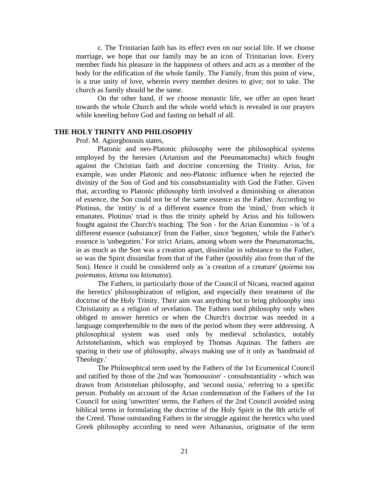c. The Trinitarian faith has its effect even on our social life. If we choose marriage, we hope that our family may be an icon of Trinitarian love. Every member finds his pleasure in the happiness of others and acts as a member of the body for the edification of the whole family. The Family, from this point of view, is a true unity of love, wherein every member desires to give; not to take. The church as family should be the same.

 On the other hand, if we choose monastic life, we offer an open heart towards the whole Church and the whole world which is revealed in our prayers while kneeling before God and fasting on behalf of all.

#### **THE HOLY TRINITY AND PHILOSOPHY**

Prof. M. Agiorghoussis states,

Platonic and neo-Platonic philosophy were the philosophical systems employed by the heresies (Arianism and the Pneumatomachs) which fought against the Christian faith and doctrine concerning the Trinity. Arius, for example, was under Platonic and neo-Platonic influence when he rejected the divinity of the Son of God and his consubstantiality with God the Father. Given that, according to Platonic philosophy birth involved a diminishing or alteration of essence, the Son could not be of the same essence as the Father. According to Plotinus, the 'entity' is of a different essence from the 'mind,' from which it emanates. Plotinus' triad is thus the trinity upheld by Arius and his followers fought against the Church's teaching. The Son - for the Arian Eunomius - is 'of a different essence (substance)' from the Father, since 'begotten,' while the Father's essence is 'unbegotten.' For strict Arians, among whom were the Pneumatomachs, in as much as the Son was a creation apart, dissimilar in substance to the Father, so was the Spirit dissimilar from that of the Father (possibly also from that of the Son). Hence it could be considered only as 'a creation of a creature' (*poiema tou poiematos, ktisma tou ktismatos*).

The Fathers, in particularly those of the Council of Nicaea, reacted against the heretics' philosophization of religion, and especially their treatment of the doctrine of the Holy Trinity. Their aim was anything but to bring philosophy into Christianity as a religion of revelation. The Fathers used philosophy only when obliged to answer heretics or when the Church's doctrine was needed in a language comprehensible to the men of the period whom they were addressing. A philosophical system was used only by medieval scholastics, notably Aristotelianism, which was employed by Thomas Aquinas. The fathers are sparing in their use of philosophy, always making use of it only as 'handmaid of Theology.'

The Philosophical term used by the Fathers of the 1st Ecumenical Council and ratified by those of the 2nd was '*homoousion*' - consubstantiality - which was drawn from Aristotelian philosophy, and 'second ousia,' referring to a specific person. Probably on account of the Arian condemnation of the Fathers of the 1st Council for using 'unwritten' terms, the Fathers of the 2nd Council avoided using biblical terms in formulating the doctrine of the Holy Spirit in the 8th article of the Creed. Those outstanding Fathers in the struggle against the heretics who used Greek philosophy according to need were Athanasius, originator of the term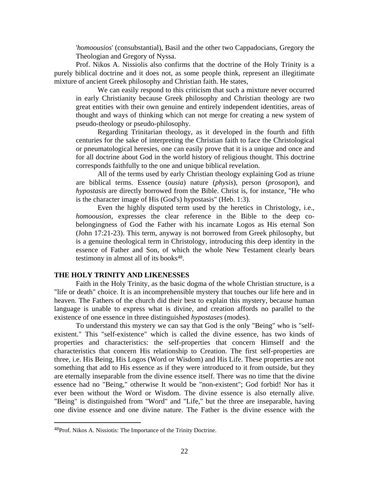'*homoousios*' (consubstantial), Basil and the other two Cappadocians, Gregory the Theologian and Gregory of Nyssa.

Prof. Nikos A. Nissiolis also confirms that the doctrine of the Holy Trinity is a purely biblical doctrine and it does not, as some people think, represent an illegitimate mixture of ancient Greek philosophy and Christian faith. He states,

We can easily respond to this criticism that such a mixture never occurred in early Christianity because Greek philosophy and Christian theology are two great entities with their own genuine and entirely independent identities, areas of thought and ways of thinking which can not merge for creating a new system of pseudo-theology or pseudo-philosophy.

Regarding Trinitarian theology, as it developed in the fourth and fifth centuries for the sake of interpreting the Christian faith to face the Christological or pneumatological heresies, one can easily prove that it is a unique and once and for all doctrine about God in the world history of religious thought. This doctrine corresponds faithfully to the one and unique biblical revelation.

All of the terms used by early Christian theology explaining God as triune are biblical terms. Essence (*ousia*) nature (*physis*), person (*prosopon*), and *hypostasis* are directly borrowed from the Bible. Christ is, for instance, "He who is the character image of His (God's) hypostasis" (Heb. 1:3).

Even the highly disputed term used by the heretics in Christology, i.e., *homoousion*, expresses the clear reference in the Bible to the deep cobelongingness of God the Father with his incarnate Logos as His eternal Son (John 17:21-23). This term, anyway is not borrowed from Greek philosophy, but is a genuine theological term in Christology, introducing this deep identity in the essence of Father and Son, of which the whole New Testament clearly bears testimony in almost all of its books<sup>48</sup>.

# **THE HOLY TRINITY AND LIKENESSES**

Faith in the Holy Trinity, as the basic dogma of the whole Christian structure, is a "life or death" choice. It is an incomprehensible mystery that touches our life here and in heaven. The Fathers of the church did their best to explain this mystery, because human language is unable to express what is divine, and creation affords no parallel to the existence of one essence in three distinguished *hypostases* (modes).

To understand this mystery we can say that God is the only "Being" who is "selfexistent." This "self-existence" which is called the divine essence, has two kinds of properties and characteristics: the self-properties that concern Himself and the characteristics that concern His relationship to Creation. The first self-properties are three, i.e. His Being, His Logos (Word or Wisdom) and His Life. These properties are not something that add to His essence as if they were introduced to it from outside, but they are eternally inseparable from the divine essence itself. There was no time that the divine essence had no "Being," otherwise It would be "non-existent"; God forbid! Nor has it ever been without the Word or Wisdom. The divine essence is also eternally alive. "Being" is distinguished from "Word" and "Life," but the three are inseparable, having one divine essence and one divine nature. The Father is the divine essence with the

<sup>48</sup>Prof. Nikos A. Nissiotis: The Importance of the Trinity Doctrine.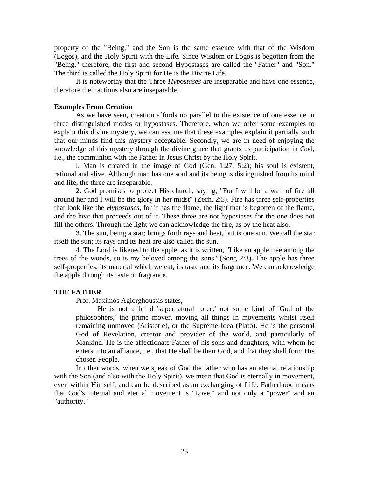property of the "Being," and the Son is the same essence with that of the Wisdom (Logos), and the Holy Spirit with the Life. Since Wisdom or Logos is begotten from the "Being," therefore, the first and second Hypostases are called the "Father" and "Son." The third is called the Holy Spirit for He is the Divine Life.

It is noteworthy that the Three *Hypostases* are inseparable and have one essence, therefore their actions also are inseparable.

# **Examples From Creation**

As we have seen, creation affords no parallel to the existence of one essence in three distinguished modes or hypostases. Therefore, when we offer some examples to explain this divine mystery, we can assume that these examples explain it partially such that our minds find this mystery acceptable. Secondly, we are in need of enjoying the knowledge of this mystery through the divine grace that grants us participation in God, i.e., the communion with the Father in Jesus Christ by the Holy Spirit.

l. Man is created in the image of God (Gen. 1:27; 5:2); his soul is existent, rational and alive. Although man has one soul and its being is distinguished from its mind and life, the three are inseparable.

2. God promises to protect His church, saying, "For I will be a wall of fire all around her and I will be the glory in her midst" (Zech. 2:5). Fire has three self-properties that look like the *Hypostases*, for it has the flame, the light that is begotten of the flame, and the heat that proceeds out of it. These three are not hypostases for the one does not fill the others. Through the light we can acknowledge the fire, as by the heat also.

3. The sun, being a star; brings forth rays and heat, but is one sun. We call the star itself the sun; its rays and its heat are also called the sun.

4. The Lord is likened to the apple, as it is written, "Like an apple tree among the trees of the woods, so is my beloved among the sons" (Song 2:3). The apple has three self-properties, its material which we eat, its taste and its fragrance. We can acknowledge the apple through its taste or fragrance.

## **THE FATHER**

Prof. Maximos Agiorghoussis states,

He is not a blind 'supernatural force,' not some kind of 'God of the philosophers,' the prime mover, moving all things in movements whilst itself remaining unmoved (Aristotle), or the Supreme Idea (Plato). He is the personal God of Revelation, creator and provider of the world, and particularly of Mankind. He is the affectionate Father of his sons and daughters, with whom he enters into an alliance, i.e., that He shall be their God, and that they shall form His chosen People.

In other words, when we speak of God the father who has an eternal relationship with the Son (and also with the Holy Spirit), we mean that God is eternally in movement, even within Himself, and can be described as an exchanging of Life. Fatherhood means that God's internal and eternal movement is "Love," and not only a "power" and an "authority."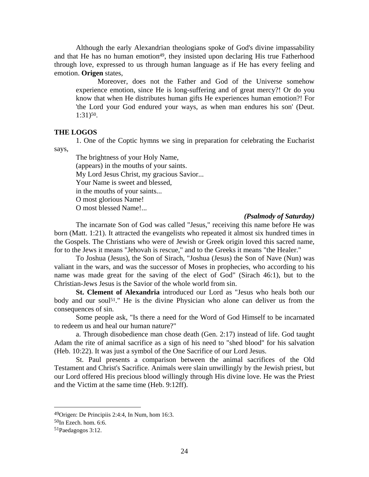Although the early Alexandrian theologians spoke of God's divine impassability and that He has no human emotion<sup>49</sup>, they insisted upon declaring His true Fatherhood through love, expressed to us through human language as if He has every feeling and emotion. **Origen** states,

Moreover, does not the Father and God of the Universe somehow experience emotion, since He is long-suffering and of great mercy?! Or do you know that when He distributes human gifts He experiences human emotion?! For 'the Lord your God endured your ways, as when man endures his son' (Deut. 1:31)50.

# **THE LOGOS**

1. One of the Coptic hymns we sing in preparation for celebrating the Eucharist says,

The brightness of your Holy Name, (appears) in the mouths of your saints. My Lord Jesus Christ, my gracious Savior... Your Name is sweet and blessed, in the mouths of your saints... O most glorious Name! O most blessed Name!...

# *(Psalmody of Saturday)*

The incarnate Son of God was called "Jesus," receiving this name before He was born (Matt. 1:21). It attracted the evangelists who repeated it almost six hundred times in the Gospels. The Christians who were of Jewish or Greek origin loved this sacred name, for to the Jews it means "Jehovah is rescue," and to the Greeks it means "the Healer."

To Joshua (Jesus), the Son of Sirach, "Joshua (Jesus) the Son of Nave (Nun) was valiant in the wars, and was the successor of Moses in prophecies, who according to his name was made great for the saving of the elect of God" (Sirach 46:1), but to the Christian-Jews Jesus is the Savior of the whole world from sin.

**St. Clement of Alexandria** introduced our Lord as "Jesus who heals both our body and our soul<sup>51</sup>." He is the divine Physician who alone can deliver us from the consequences of sin.

 Some people ask, "Is there a need for the Word of God Himself to be incarnated to redeem us and heal our human nature?"

a. Through disobedience man chose death (Gen. 2:17) instead of life. God taught Adam the rite of animal sacrifice as a sign of his need to "shed blood" for his salvation (Heb. 10:22). It was just a symbol of the One Sacrifice of our Lord Jesus.

St. Paul presents a comparison between the animal sacrifices of the Old Testament and Christ's Sacrifice. Animals were slain unwillingly by the Jewish priest, but our Lord offered His precious blood willingly through His divine love. He was the Priest and the Victim at the same time (Heb. 9:12ff).

<sup>49</sup>Origen: De Principiis 2:4:4, In Num, hom 16:3.

 $50$ In Ezech. hom. 6:6.

<sup>51</sup>Paedagogos 3:12.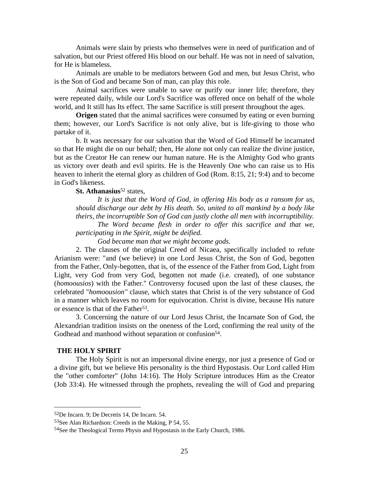Animals were slain by priests who themselves were in need of purification and of salvation, but our Priest offered His blood on our behalf. He was not in need of salvation, for He is blameless.

Animals are unable to be mediators between God and men, but Jesus Christ, who is the Son of God and became Son of man, can play this role.

Animal sacrifices were unable to save or purify our inner life; therefore, they were repeated daily, while our Lord's Sacrifice was offered once on behalf of the whole world, and It still has Its effect. The same Sacrifice is still present throughout the ages.

**Origen** stated that the animal sacrifices were consumed by eating or even burning them; however, our Lord's Sacrifice is not only alive, but is life-giving to those who partake of it.

b. It was necessary for our salvation that the Word of God Himself be incarnated so that He might die on our behalf; then, He alone not only can realize the divine justice, but as the Creator He can renew our human nature. He is the Almighty God who grants us victory over death and evil spirits. He is the Heavenly One who can raise us to His heaven to inherit the eternal glory as children of God (Rom. 8:15, 21; 9:4) and to become in God's likeness.

# **St. Athanasius**<sup>52</sup> states,

*It is just that the Word of God, in offering His body as a ransom for us, should discharge our debt by His death. So, united to all mankind by a body like theirs, the incorruptible Son of God can justly clothe all men with incorruptibility. The Word became flesh in order to offer this sacrifice and that we,* 

*participating in the Spirit, might be deified*.

*God became man that we might become gods.*

2. The clauses of the original Creed of Nicaea, specifically included to refute Arianism were: "and (we believe) in one Lord Jesus Christ, the Son of God, begotten from the Father, Only-begotten, that is, of the essence of the Father from God, Light from Light, very God from very God, begotten not made (i.e. created), of one substance (*homoousios*) with the Father.'' Controversy focused upon the last of these clauses, the celebrated "*homoousion"* clause, which states that Christ is of the very substance of God in a manner which leaves no room for equivocation. Christ is divine, because His nature or essence is that of the Father<sup>53</sup>.

3. Concerning the nature of our Lord Jesus Christ, the Incarnate Son of God, the Alexandrian tradition insists on the oneness of the Lord, confirming the real unity of the Godhead and manhood without separation or confusion<sup>54</sup>.

#### **THE HOLY SPIRIT**

 $\overline{a}$ 

The Holy Spirit is not an impersonal divine energy, nor just a presence of God or a divine gift, but we believe His personality is the third Hypostasis. Our Lord called Him the "other comforter" (John 14:16). The Holy Scripture introduces Him as the Creator (Job 33:4). He witnessed through the prophets, revealing the will of God and preparing

<sup>52</sup>De Incarn. 9; De Decretis 14, De Incarn. 54.

<sup>53</sup>See Alan Richardson: Creeds in the Making, P 54, 55.

<sup>54</sup>See the Theological Terms Physis and Hypostasis in the Early Church, 1986.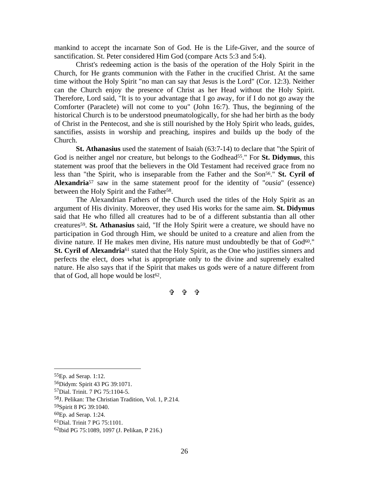mankind to accept the incarnate Son of God. He is the Life-Giver, and the source of sanctification. St. Peter considered Him God (compare Acts 5:3 and 5:4).

Christ's redeeming action is the basis of the operation of the Holy Spirit in the Church, for He grants communion with the Father in the crucified Christ. At the same time without the Holy Spirit "no man can say that Jesus is the Lord" (Cor. 12:3). Neither can the Church enjoy the presence of Christ as her Head without the Holy Spirit. Therefore, Lord said, "It is to your advantage that I go away, for if I do not go away the Comforter (Paraclete) will not come to you" (John 16:7). Thus, the beginning of the historical Church is to be understood pneumatologically, for she had her birth as the body of Christ in the Pentecost, and she is still nourished by the Holy Spirit who leads, guides, sanctifies, assists in worship and preaching, inspires and builds up the body of the Church.

**St. Athanasius** used the statement of Isaiah (63:7-14) to declare that "the Spirit of God is neither angel nor creature, but belongs to the Godhead<sup>55</sup>." For **St. Didymus**, this statement was proof that the believers in the Old Testament had received grace from no less than "the Spirit, who is inseparable from the Father and the Son<sup>56</sup>." **St. Cyril of Alexandria**57 saw in the same statement proof for the identity of "*ousia*" (essence) between the Holy Spirit and the Father<sup>58</sup>.

 The Alexandrian Fathers of the Church used the titles of the Holy Spirit as an argument of His divinity. Moreover, they used His works for the same aim. **St. Didymus** said that He who filled all creatures had to be of a different substantia than all other creatures59. **St. Athanasius** said, "If the Holy Spirit were a creature, we should have no participation in God through Him, we should be united to a creature and alien from the divine nature. If He makes men divine, His nature must undoubtedly be that of God<sup>60</sup>." **St. Cyril of Alexandria**<sup>61</sup> stated that the Holy Spirit, as the One who justifies sinners and perfects the elect, does what is appropriate only to the divine and supremely exalted nature. He also says that if the Spirit that makes us gods were of a nature different from that of God, all hope would be  $lost62$ .

= = =

<sup>55</sup>Ep. ad Serap. 1:12.

<sup>56</sup>Didym: Spirit 43 PG 39:1071.

<sup>57</sup>Dial. Trinit. 7 PG 75:1104-5.

<sup>58</sup>J. Pelikan: The Christian Tradition, Vol. 1, P.214.

<sup>59</sup>Spirit 8 PG 39:1040.

<sup>60</sup>Ep. ad Serap. 1:24.

<sup>61</sup>Dial. Trinit 7 PG 75:1101.

<sup>62</sup>Ibid PG 75:1089, 1097 (J. Pelikan, P 216.)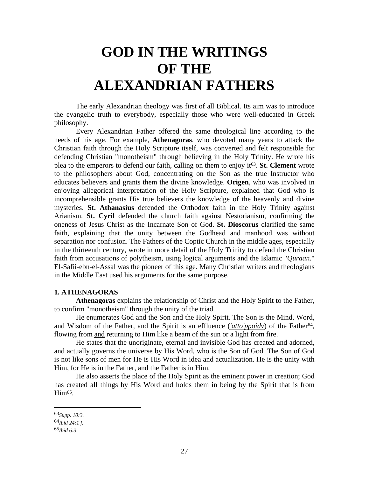# **GOD IN THE WRITINGS OF THE ALEXANDRIAN FATHERS**

The early Alexandrian theology was first of all Biblical. Its aim was to introduce the evangelic truth to everybody, especially those who were well-educated in Greek philosophy.

Every Alexandrian Father offered the same theological line according to the needs of his age. For example, **Athenagoras**, who devoted many years to attack the Christian faith through the Holy Scripture itself, was converted and felt responsible for defending Christian "monotheism" through believing in the Holy Trinity. He wrote his plea to the emperors to defend our faith, calling on them to enjoy it63. **St. Clement** wrote to the philosophers about God, concentrating on the Son as the true Instructor who educates believers and grants them the divine knowledge. **Origen**, who was involved in enjoying allegorical interpretation of the Holy Scripture, explained that God who is incomprehensible grants His true believers the knowledge of the heavenly and divine mysteries. **St. Athanasius** defended the Orthodox faith in the Holy Trinity against Arianism. **St. Cyril** defended the church faith against Nestorianism, confirming the oneness of Jesus Christ as the Incarnate Son of God. **St. Dioscorus** clarified the same faith, explaining that the unity between the Godhead and manhood was without separation nor confusion. The Fathers of the Coptic Church in the middle ages, especially in the thirteenth century, wrote in more detail of the Holy Trinity to defend the Christian faith from accusations of polytheism, using logical arguments and the Islamic "*Quraan*." El-Safii-ebn-el-Assal was the pioneer of this age. Many Christian writers and theologians in the Middle East used his arguments for the same purpose.

# **1. ATHENAGORAS**

**Athenagoras** explains the relationship of Christ and the Holy Spirit to the Father, to confirm "monotheism" through the unity of the triad.

He enumerates God and the Son and the Holy Spirit. The Son is the Mind, Word, and Wisdom of the Father, and the Spirit is an effluence (*'atto'ppoidv*) of the Father64, flowing from and returning to Him like a beam of the sun or a light from fire.

He states that the unoriginate, eternal and invisible God has created and adorned, and actually governs the universe by His Word, who is the Son of God. The Son of God is not like sons of men for He is His Word in idea and actualization. He is the unity with Him, for He is in the Father, and the Father is in Him.

He also asserts the place of the Holy Spirit as the eminent power in creation; God has created all things by His Word and holds them in being by the Spirit that is from  $\text{Him}^{65}$ .

<sup>63</sup>*Supp. 10:3.*

<sup>64</sup>*Ibid 24:1 f.*

<sup>65</sup>*Ibid 6:3.*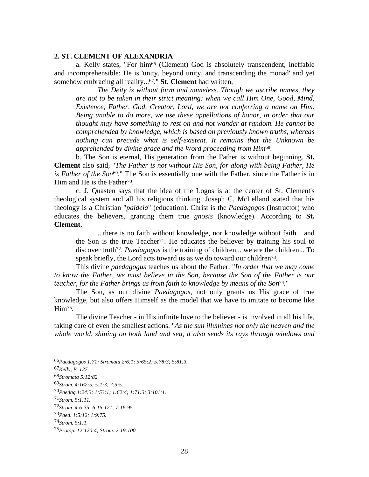# **2. ST. CLEMENT OF ALEXANDRIA**

a. Kelly states, "For him66 (Clement) God is absolutely transcendent, ineffable and incomprehensible; He is 'unity, beyond unity, and transcending the monad' and yet somehow embracing all reality...67." **St. Clement** had written,

*The Deity is without form and nameless. Though we ascribe names, they are not to be taken in their strict meaning: when we call Him One, Good, Mind, Existence, Father, God, Creator, Lord, we are not conferring a name on Him. Being unable to do more, we use these appellations of honor, in order that our thought may have something to rest on and not wander at random. He cannot be comprehended by knowledge, which is based on previously known truths, whereas nothing can precede what is self-existent. It remains that the Unknown be apprehended by divine grace and the Word proceeding from Him*68*.*

b. The Son is eternal, His generation from the Father is without beginning. **St. Clement** also said, "*The Father is not without His Son, for along with being Father, He is Father of the Son*<sup>69</sup>." The Son is essentially one with the Father, since the Father is in Him and He is the Father<sup>70</sup>.

c. J. Quasten says that the idea of the Logos is at the center of St. Clement's theological system and all his religious thinking. Joseph C. McLelland stated that his theology is a Christian "*paideia*" (education). Christ is the *Paedagogos* (Instructor) who educates the believers, granting them true *gnosis* (knowledge). According to **St. Clement**,

...there is no faith without knowledge, nor knowledge without faith... and the Son is the true Teacher<sup>71</sup>. He educates the believer by training his soul to discover truth<sup>72</sup>. *Paedagogos* is the training of children... we are the children... To speak briefly, the Lord acts toward us as we do toward our children<sup>73</sup>.

This divine *paedagogus* teaches us about the Father. "*In order that we may come to know the Father, we must believe in the Son, because the Son of the Father is our teacher, for the Father brings us from faith to knowledge by means of the Son*74*.*"

The Son, as our divine *Paedagogos*, not only grants us His grace of true knowledge, but also offers Himself as the model that we have to imitate to become like Him<sup>75</sup>.

The divine Teacher - in His infinite love to the believer - is involved in all his life, taking care of even the smallest actions. "*As the sun illumines not only the heaven and the whole world, shining on both land and sea, it also sends its rays through windows and* 

<sup>66</sup>*Paedagogos 1:71; Stromata 2:6:1; 5:65:2; 5:78:3; 5:81:3.*

<sup>67</sup>*Kelly, P. 127.*

<sup>68</sup>*Stromata 5:12:82.*

<sup>69</sup>*Strom. 4:162:5; 5:1:3; 7:5:5.*

<sup>70</sup>*Paedag.1:24:3; 1:53:1; 1:62:4; 1:71:3; 3:101:1.*

<sup>71</sup>*Strom. 5:1:11.*

<sup>72</sup>*Strom. 4:6:35; 6:15:121; 7:16:95.*

<sup>73</sup>*Paed. 1:5:12; 1:9:75.*

<sup>74</sup>*Strom. 5:1:1.*

<sup>75</sup>*Protop. 12:120:4; Strom. 2:19:100.*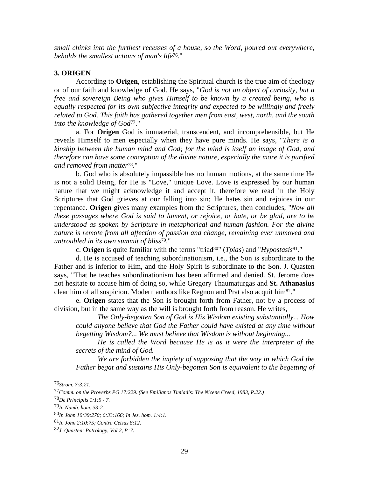*small chinks into the furthest recesses of a house, so the Word, poured out everywhere, beholds the smallest actions of man's life*76*.*"

# **3. ORIGEN**

According to **Origen**, establishing the Spiritual church is the true aim of theology or of our faith and knowledge of God. He says, "*God is not an object of curiosity, but a free and sovereign Being who gives Himself to be known by a created being, who is equally respected for its own subjective integrity and expected to be willingly and freely related to God. This faith has gathered together men from east, west, north, and the south into the knowledge of God*77."

a. For **Origen** God is immaterial, transcendent, and incomprehensible, but He reveals Himself to men especially when they have pure minds. He says, "*There is a kinship between the human mind and God; for the mind is itself an image of God, and therefore can have some conception of the divine nature, especially the more it is purified and removed from matter*78*.*"

b. God who is absolutely impassible has no human motions, at the same time He is not a solid Being, for He is "Love," unique Love. Love is expressed by our human nature that we might acknowledge it and accept it, therefore we read in the Holy Scriptures that God grieves at our falling into sin; He hates sin and rejoices in our repentance. **Origen** gives many examples from the Scriptures, then concludes, "*Now all these passages where God is said to lament, or rejoice, or hate, or be glad, are to be understood as spoken by Scripture in metaphorical and human fashion. For the divine nature is remote from all affection of passion and change, remaining ever unmoved and untroubled in its own summit of bliss*79*.*"

c. **Origen** is quite familiar with the terms "triad80" (*Tpias*) and "*Hypostasis*81*.*"

d. He is accused of teaching subordinationism, i.e., the Son is subordinate to the Father and is inferior to Him, and the Holy Spirit is subordinate to the Son. J. Quasten says, "That he teaches subordinationism has been affirmed and denied. St. Jerome does not hesitate to accuse him of doing so, while Gregory Thaumaturgas and **St. Athanasius** clear him of all suspicion. Modern authors like Regnon and Prat also acquit him82."

e. **Origen** states that the Son is brought forth from Father, not by a process of division, but in the same way as the will is brought forth from reason. He writes,

*The Only-begotten Son of God is His Wisdom existing substantially... How could anyone believe that God the Father could have existed at any time without begetting Wisdom?... We must believe that Wisdom is without beginning...* 

*He is called the Word because He is as it were the interpreter of the secrets of the mind of God.* 

*We are forbidden the impiety of supposing that the way in which God the Father begat and sustains His Only-begotten Son is equivalent to the begetting of* 

<sup>76</sup>*Strom. 7:3:21.*

<sup>77</sup>*Comm. on the Proverbs PG 17:229. (See Emilianos Timiadis: The Nicene Creed, 1983, P.22.)*

<sup>78</sup>*De Principiis 1:1:5 - 7.*

<sup>79</sup>*In Numb. hom. 33:2.*

<sup>80</sup>*In John 10:39:270; 6:33:166; In Jes. hom. 1:4:1.*

<sup>81</sup>*In John 2:10:75; Contra Celsus 8:12.*

<sup>82</sup>*J. Quasten: Patrology, Vol 2, P '7.*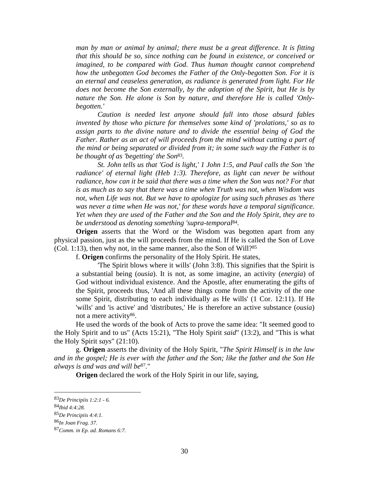*man by man or animal by animal; there must be a great difference. It is fitting that this should be so, since nothing can be found in existence, or conceived or imagined, to be compared with God. Thus human thought cannot comprehend how the unbegotten God becomes the Father of the Only-begotten Son. For it is an eternal and ceaseless generation, as radiance is generated from light. For He does not become the Son externally, by the adoption of the Spirit, but He is by nature the Son. He alone is Son by nature, and therefore He is called 'Onlybegotten.'* 

*Caution is needed lest anyone should fall into those absurd fables invented by those who picture for themselves some kind of 'prolations,' so as to assign parts to the divine nature and to divide the essential being of God the*  Father. Rather as an act of will proceeds from the mind without cutting a part of *the mind or being separated or divided from it; in some such way the Father is to be thought of as 'begetting' the Son*83*.* 

*St. John tells us that 'God is light,' 1 John 1:5, and Paul calls the Son 'the radiance' of eternal light (Heb 1:3). Therefore, as light can never be without*  radiance, how can it be said that there was a time when the Son was not? For that *is as much as to say that there was a time when Truth was not, when Wisdom was not, when Life was not. But we have to apologize for using such phrases as 'there was never a time when He was not,' for these words have a temporal significance. Yet when they are used of the Father and the Son and the Holy Spirit, they are to be understood as denoting something 'supra-temporal*84*.* 

**Origen** asserts that the Word or the Wisdom was begotten apart from any physical passion, just as the will proceeds from the mind. If He is called the Son of Love (Col. 1:13), then why not, in the same manner, also the Son of Will?85

f. **Origen** confirms the personality of the Holy Spirit. He states,

'The Spirit blows where it wills' (John 3:8). This signifies that the Spirit is a substantial being (*ousia*). It is not, as some imagine, an activity (*energia*) of God without individual existence. And the Apostle, after enumerating the gifts of the Spirit, proceeds thus, 'And all these things come from the activity of the one some Spirit, distributing to each individually as He wills' (1 Cor. 12:11). If He 'wills' and 'is active' and 'distributes,' He is therefore an active substance (*ousia*) not a mere activity86.

He used the words of the book of Acts to prove the same idea: "It seemed good to the Holy Spirit and to us" (Acts 15:21), "The Holy Spirit *said*" (13:2), and "This is what the Holy Spirit *says*" (21:10).

g. **Origen** asserts the divinity of the Holy Spirit, "*The Spirit Himself is in the law and in the gospel; He is ever with the father and the Son; like the father and the Son He always is and was and will be*87*.*"

**Origen** declared the work of the Holy Spirit in our life, saying,

<sup>83</sup>*De Principiis 1:2:1 - 6.*

<sup>84</sup>*Ibid 4:4:28.*

<sup>85</sup>*De Principiis 4:4:1.*

<sup>86</sup>*In Joan Frag. 37.*

<sup>87</sup>*Comm. in Ep. ad. Romans 6:7.*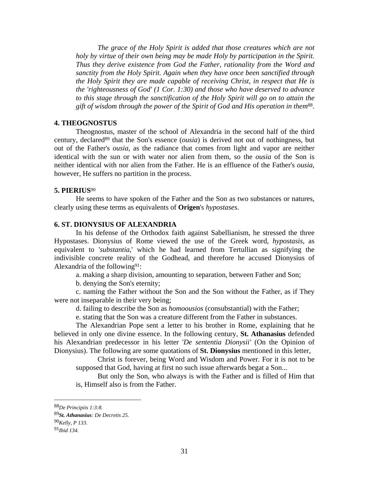*The grace of the Holy Spirit is added that those creatures which are not holy by virtue of their own being may be made Holy by participation in the Spirit. Thus they derive existence from God the Father, rationality from the Word and sanctity from the Holy Spirit. Again when they have once been sanctified through the Holy Spirit they are made capable of receiving Christ, in respect that He is the 'righteousness of God' (1 Cor. 1:30) and those who have deserved to advance to this stage through the sanctification of the Holy Spirit will go on to attain the gift of wisdom through the power of the Spirit of God and His operation in them*88.

# **4. THEOGNOSTUS**

Theognostus, master of the school of Alexandria in the second half of the third century, declared<sup>89</sup> that the Son's essence *(ousia)* is derived not out of nothingness, but out of the Father's *ousia*, as the radiance that comes from light and vapor are neither identical with the sun or with water nor alien from them, so the *ousia* of the Son is neither identical with nor alien from the Father. He is an effluence of the Father's *ousia*, however, He suffers no partition in the process.

## **5. PIERIUS**<sup>90</sup>

He seems to have spoken of the Father and the Son as two substances or natures, clearly using these terms as equivalents of **Origen**'s *hypostases*.

#### **6. ST. DIONYSIUS OF ALEXANDRIA**

In his defense of the Orthodox faith against Sabellianism, he stressed the three Hypostases. Dionysius of Rome viewed the use of the Greek word, *hypostasis*, as equivalent to '*substantia*,' which he had learned from Tertullian as signifying the indivisible concrete reality of the Godhead, and therefore he accused Dionysius of Alexandria of the following<sup>91</sup>:

a. making a sharp division, amounting to separation, between Father and Son;

b. denying the Son's eternity;

c. naming the Father without the Son and the Son without the Father, as if They were not inseparable in their very being;

d. failing to describe the Son as *homoousios* (consubstantial) with the Father;

e. stating that the Son was a creature different from the Father in substances.

The Alexandrian Pope sent a letter to his brother in Rome, explaining that he believed in only one divine essence. In the following century, **St. Athanasius** defended his Alexandrian predecessor in his letter '*De sententia Dionysii'* (On the Opinion of Dionysius). The following are some quotations of **St. Dionysius** mentioned in this letter,

Christ is forever, being Word and Wisdom and Power. For it is not to be supposed that God, having at first no such issue afterwards begat a Son...

But only the Son, who always is with the Father and is filled of Him that is, Himself also is from the Father.

<sup>88</sup>*De Principiis 1:3:8.*

<sup>89</sup>*St. Athanasius: De Decretis 25.*

<sup>90</sup>*Kelly, P 133.*

<sup>91</sup>*Ibid 134.*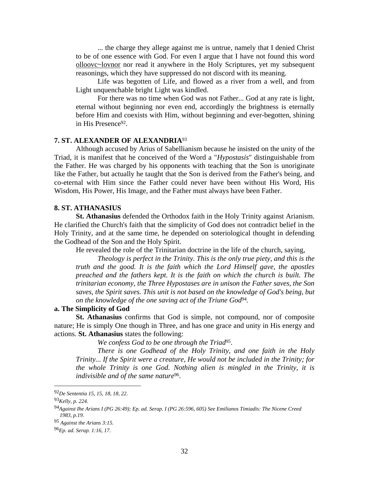... the charge they allege against me is untrue, namely that I denied Christ to be of one essence with God. For even I argue that I have not found this word olloovc~lovnor nor read it anywhere in the Holy Scriptures, yet my subsequent reasonings, which they have suppressed do not discord with its meaning.

Life was begotten of Life, and flowed as a river from a well, and from Light unquenchable bright Light was kindled.

For there was no time when God was not Father... God at any rate is light, eternal without beginning nor even end, accordingly the brightness is eternally before Him and coexists with Him, without beginning and ever-begotten, shining in His Presence92.

### **7. ST. ALEXANDER OF ALEXANDRIA**<sup>93</sup>

Although accused by Arius of Sabellianism because he insisted on the unity of the Triad, it is manifest that he conceived of the Word a "*Hypostasis*" distinguishable from the Father. He was charged by his opponents with teaching that the Son is unoriginate like the Father, but actually he taught that the Son is derived from the Father's being, and co-eternal with Him since the Father could never have been without His Word, His Wisdom, His Power, His Image, and the Father must always have been Father.

#### **8. ST. ATHANASIUS**

**St. Athanasius** defended the Orthodox faith in the Holy Trinity against Arianism. He clarified the Church's faith that the simplicity of God does not contradict belief in the Holy Trinity, and at the same time, he depended on soteriological thought in defending the Godhead of the Son and the Holy Spirit.

He revealed the role of the Trinitarian doctrine in the life of the church, saying,

*Theology is perfect in the Trinity. This is the only true piety, and this is the truth and the good. It is the faith which the Lord Himself gave, the apostles preached and the fathers kept. It is the faith on which the church is built. The trinitarian economy, the Three Hypostases are in unison the Father saves, the Son saves, the Spirit saves. This unit is not based on the knowledge of God's being, but on the knowledge of the one saving act of the Triune God*94*.*

# **a. The Simplicity of God**

**St. Athanasius** confirms that God is simple, not compound, nor of composite nature; He is simply One though in Three, and has one grace and unity in His energy and actions. **St. Athanasius** states the following:

*We confess God to be one through the Triad*95.

*There is one Godhead of the Holy Trinity, and one faith in the Holy Trinity... If the Spirit were a creature, He would not be included in the Trinity; for the whole Trinity is one God. Nothing alien is mingled in the Trinity, it is indivisible and of the same nature*96.

<u>.</u>

<sup>92</sup>*De Sententia 15, 15, 18, 18, 22.*

<sup>93</sup>*Kelly, p. 224.*

<sup>94</sup>*Against Ihe Arians I (PG 26:49); Ep. ad. Serap. I (PG 26:596, 605) See Emilianos Timiadis: The Nicene Creed 1983, p.19.*

<sup>95</sup> *Against the Arians 3:15.*

<sup>96</sup>*Ep. ad. Serap. 1:16, 17.*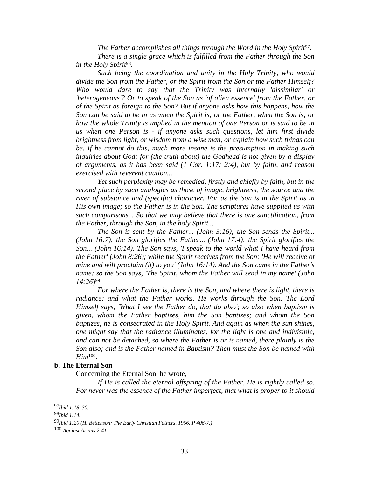*The Father accomplishes all things through the Word in the Holy Spirit*97. *There is a single grace which is fulfilled from the Father through the Son in the Holy Spirit*98.

*Such being the coordination and unity in the Holy Trinity, who would divide the Son from the Father, or the Spirit from the Son or the Father Himself? Who would dare to say that the Trinity was internally 'dissimilar' or 'heterogeneous'? Or to speak of the Son as 'of alien essence' from the Father, or of the Spirit as foreign to the Son? But if anyone asks how this happens, how the Son can be said to be in us when the Spirit is; or the Father, when the Son is; or how the whole Trinity is implied in the mention of one Person or is said to be in us when one Person is - if anyone asks such questions, let him first divide brightness from light, or wisdom from a wise man, or explain how such things can be. If he cannot do this, much more insane is the presumption in making such inquiries about God; for (the truth about) the Godhead is not given by a display of arguments, as it has been said (1 Cor. 1:17; 2:4), but by faith, and reason exercised with reverent caution...* 

*Yet such perplexity may be remedied, firstly and chiefly by faith, but in the second place by such analogies as those of image, brightness, the source and the river of substance and (specific) character. For as the Son is in the Spirit as in His own image; so the Father is in the Son. The scriptures have supplied us with such comparisons... So that we may believe that there is one sanctification, from the Father, through the Son, in the holy Spirit...* 

*The Son is sent by the Father... (John 3:16); the Son sends the Spirit... (John 16:7); the Son glorifies the Father... (John 17:4); the Spirit glorifies the Son... (John 16:14). The Son says, 'I speak to the world what I have heard from the Father' (John 8:26); while the Spirit receives from the Son: 'He will receive of mine and will proclaim (it) to you' (John 16:14). And the Son came in the Father's name; so the Son says, 'The Spirit, whom the Father will send in my name' (John 14:26*)99.

*For where the Father is, there is the Son, and where there is light, there is radiance; and what the Father works, He works through the Son. The Lord Himself says, 'What I see the Father do, that do also'; so also when baptism is given, whom the Father baptizes, him the Son baptizes; and whom the Son baptizes, he is consecrated in the Holy Spirit. And again as when the sun shines, one might say that the radiance illuminates, for the light is one and indivisible, and can not be detached, so where the Father is or is named, there plainly is the Son also; and is the Father named in Baptism? Then must the Son be named with Him*100.

#### **b. The Eternal Son**

Concerning the Eternal Son, he wrote,

*If He is called the eternal offspring of the Father, He is rightly called so. For never was the essence of the Father imperfect, that what is proper to it should* 

<u>.</u>

<sup>97</sup>*Ibid 1:18, 30.*

<sup>98</sup>*Ibid 1:14.*

<sup>99</sup>*Ibid 1:20 (H. Bettenson: The Early Christian Fathers, 1956, P 406-7.)*

<sup>100</sup> *Against Arians 2:41.*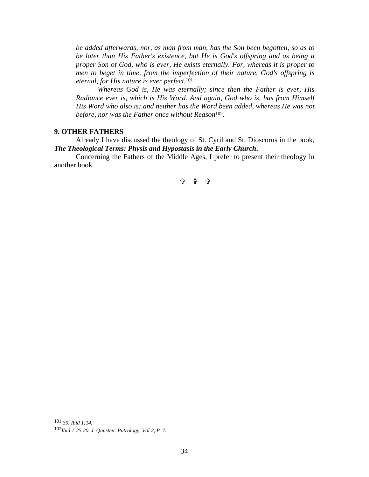*be added afterwards, nor, as man from man, has the Son been begotten, so as to be later than His Father's existence, but He is God's offspring and as being a proper Son of God, who is ever, He exists eternally. For, whereas it is proper to men to beget in time, from the imperfection of their nature, God's offspring is eternal, for His nature is ever perfect.*<sup>101</sup>

*Whereas God is, He was eternally; since then the Father is ever, His Radiance ever is, which is His Word. And again, God who is, has from Himself His Word who also is; and neither has the Word been added, whereas He was not before, nor was the Father once without Reason*102.

#### **9. OTHER FATHERS**

Already I have discussed the theology of St. Cyril and St. Dioscorus in the book, *The Theological Terms: Physis and Hypostasis in the Early Church***.**

Concerning the Fathers of the Middle Ages, I prefer to present their theology in another book.

 $\oplus$   $\oplus$   $\oplus$ 

<sup>101</sup> *39. Ibid 1:14.*

<sup>102</sup>*Ibid 1:25 20. J. Quasten: Patrology, Vol 2, P '7.*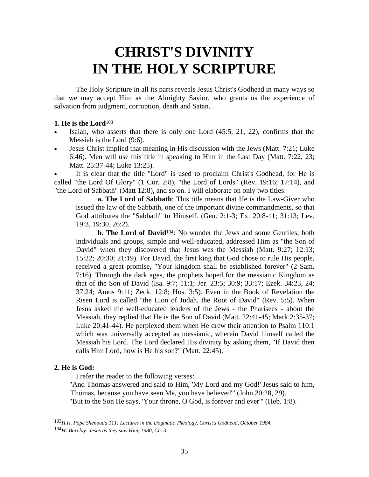# **CHRIST'S DIVINITY IN THE HOLY SCRIPTURE**

 The Holy Scripture in all its parts reveals Jesus Christ's Godhead in many ways so that we may accept Him as the Almighty Savior, who grants us the experience of salvation from judgment, corruption, death and Satan.

# **1. He is the Lord**<sup>103</sup>

- Isaiah, who asserts that there is only one Lord  $(45:5, 21, 22)$ , confirms that the Messiah is the Lord (9:6).
- Jesus Christ implied that meaning in His discussion with the Jews (Matt. 7:21; Luke 6:46). Men will use this title in speaking to Him in the Last Day (Matt. 7:22, 23; Matt. 25:37-44; Luke 13:25).

It is clear that the title "Lord" is used to proclaim Christ's Godhead, for He is called "the Lord Of Glory" (1 Cor. 2:8), "the Lord of Lords" (Rev. 19:16; 17:14), and "the Lord of Sabbath" (Matt 12:8), and so on. I will elaborate on only two titles:

**a. The Lord of Sabbath**: This title means that He is the Law-Giver who issued the law of the Sabbath, one of the important divine commandments, so that God attributes the "Sabbath" to Himself. (Gen. 2:1-3; Ex. 20:8-11; 31:13; Lev. 19:3, 19:30, 26:2).

**b. The Lord of David**104: No wonder the Jews and some Gentiles, both individuals and groups, simple and well-educated, addressed Him as "the Son of David" when they discovered that Jesus was the Messiah (Matt. 9:27; 12:13; 15:22; 20:30; 21:19). For David, the first king that God chose to rule His people, received a great promise, "Your kingdom shall be established forever" (2 Sam. 7:16). Through the dark ages, the prophets hoped for the messianic Kingdom as that of the Son of David (Isa. 9:7; 11:1; Jer. 23:5; 30:9; 33:17; Ezek. 34:23, 24; 37:24; Amos 9:11; Zeck. 12:8; Hos. 3:5). Even in the Book of Revelation the Risen Lord is called "the Lion of Judah, the Root of David" (Rev. 5:5). When Jesus asked the well-educated leaders of the Jews - the Pharisees - about the Messiah, they replied that He is the Son of David (Matt. 22:41-45; Mark 2:35-37; Luke 20:41-44). He perplexed them when He drew their attention to Psalm 110:1 which was universally accepted as messianic, wherein David himself called the Messiah his Lord. The Lord declared His divinity by asking them, "If David then calls Him Lord, how is He his son?" (Matt. 22:45).

# **2. He is God:**

1

I refer the reader to the following verses:

 "And Thomas answered and said to Him, 'My Lord and my God!' Jesus said to him, 'Thomas, because you have seen Me, you have believed'" (John 20:28, 29).

"But to the Son He says, 'Your throne, O God, is forever and ever'" (Heb. 1:8).

<sup>103</sup>*H.H. Pope Shenouda 111: Lectures in the Dogmatic Theology, Christ's Godhead, October 1984.* 104*W. Barclay: Jesus as they saw Him, 1980, Ch. 3.*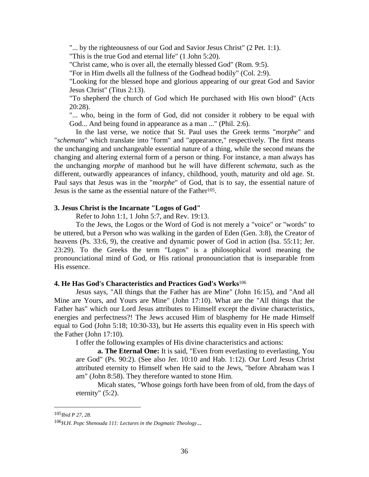"... by the righteousness of our God and Savior Jesus Christ" (2 Pet. 1:1).

"This is the true God and eternal life" (1 John 5:20).

"Christ came, who is over all, the eternally blessed God" (Rom. 9:5).

"For in Him dwells all the fullness of the Godhead bodily" (Col. 2:9).

 "Looking for the blessed hope and glorious appearing of our great God and Savior Jesus Christ" (Titus 2:13).

 "To shepherd the church of God which He purchased with His own blood" (Acts 20:28).

"... who, being in the form of God, did not consider it robbery to be equal with God... And being found in appearance as a man ..." (Phil. 2:6).

 In the last verse, we notice that St. Paul uses the Greek terms "*morphe*" and "*schemata*" which translate into "form" and "appearance," respectively. The first means the unchanging and unchangeable essential nature of a thing, while the second means the changing and altering external form of a person or thing. For instance, a man always has the unchanging *morphe* of manhood but he will have different *schemata*, such as the different, outwardly appearances of infancy, childhood, youth, maturity and old age. St. Paul says that Jesus was in the "*morphe*" of God, that is to say, the essential nature of Jesus is the same as the essential nature of the Father<sup>105</sup>.

## **3. Jesus Christ is the Incarnate "Logos of God"**

Refer to John 1:1, 1 John 5:7, and Rev. 19:13.

 To the Jews, the Logos or the Word of God is not merely a "voice" or "words" to be uttered, but a Person who was walking in the garden of Eden (Gen. 3:8), the Creator of heavens (Ps. 33:6, 9), the creative and dynamic power of God in action (Isa. 55:11; Jer. 23:29). To the Greeks the term "Logos" is a philosophical word meaning the pronounciational mind of God, or His rational pronounciation that is inseparable from His essence.

## **4. He Has God's Characteristics and Practices God's Works**<sup>106</sup>

 Jesus says, "All things that the Father has are Mine" (John 16:15), and "And all Mine are Yours, and Yours are Mine" (John 17:10). What are the "All things that the Father has" which our Lord Jesus attributes to Himself except the divine characteristics, energies and perfectness?! The Jews accused Him of blasphemy for He made Himself equal to God (John 5:18; 10:30-33), but He asserts this equality even in His speech with the Father (John 17:10).

I offer the following examples of His divine characteristics and actions:

**a. The Eternal One:** It is said, "Even from everlasting to everlasting, You are God" (Ps. 90:2). (See also Jer. 10:10 and Hab. 1:12). Our Lord Jesus Christ attributed eternity to Himself when He said to the Jews, "before Abraham was I am" (John 8:58). They therefore wanted to stone Him.

 Micah states, "Whose goings forth have been from of old, from the days of eternity" (5:2).

<sup>105</sup>*Ibid P 27, 28.*

<sup>106</sup>*H.H. Popc Shenouda 111: Lectures in the Dogmatic Theology.*..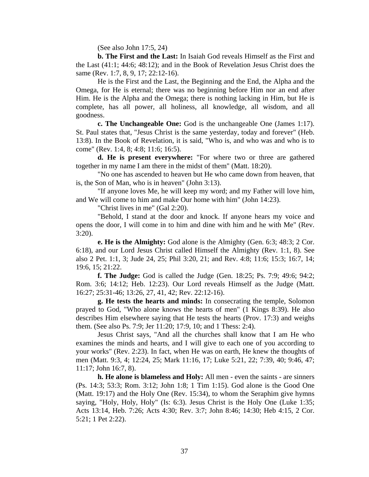(See also John 17:5, 24)

 **b. The First and the Last:** In Isaiah God reveals Himself as the First and the Last (41:1; 44:6; 48:12); and in the Book of Revelation Jesus Christ does the same (Rev. 1:7, 8, 9, 17; 22:12-16).

 He is the First and the Last, the Beginning and the End, the Alpha and the Omega, for He is eternal; there was no beginning before Him nor an end after Him. He is the Alpha and the Omega; there is nothing lacking in Him, but He is complete, has all power, all holiness, all knowledge, all wisdom, and all goodness.

 **c. The Unchangeable One:** God is the unchangeable One (James 1:17). St. Paul states that, "Jesus Christ is the same yesterday, today and forever" (Heb. 13:8). In the Book of Revelation, it is said, "Who is, and who was and who is to come" (Rev. 1:4, 8; 4:8; 11:6; 16:5).

 **d. He is present everywhere:** "For where two or three are gathered together in my name I am there in the midst of them" (Matt. 18:20).

 "No one has ascended to heaven but He who came down from heaven, that is, the Son of Man, who is in heaven" (John 3:13).

 "If anyone loves Me, he will keep my word; and my Father will love him, and We will come to him and make Our home with him" (John 14:23).

"Christ lives in me" (Gal 2:20).

 "Behold, I stand at the door and knock. If anyone hears my voice and opens the door, I will come in to him and dine with him and he with Me" (Rev. 3:20).

**e. He is the Almighty:** God alone is the Almighty (Gen. 6:3; 48:3; 2 Cor. 6:18), and our Lord Jesus Christ called Himself the Almighty (Rev. 1:1, 8). See also 2 Pet. 1:1, 3; Jude 24, 25; Phil 3:20, 21; and Rev. 4:8; 11:6; 15:3; 16:7, 14; 19:6, 15; 21:22.

 **f. The Judge:** God is called the Judge (Gen. 18:25; Ps. 7:9; 49:6; 94:2; Rom. 3:6; 14:12; Heb. 12:23). Our Lord reveals Himself as the Judge (Matt. 16:27; 25:31-46; 13:26, 27, 41, 42; Rev. 22:12-16).

**g. He tests the hearts and minds:** In consecrating the temple, Solomon prayed to God, "Who alone knows the hearts of men" (1 Kings 8:39). He also describes Him elsewhere saying that He tests the hearts (Prov. 17:3) and weighs them. (See also Ps. 7:9; Jer 11:20; 17:9, 10; and 1 Thess: 2:4).

 Jesus Christ says, "And all the churches shall know that I am He who examines the minds and hearts, and I will give to each one of you according to your works" (Rev. 2:23). In fact, when He was on earth, He knew the thoughts of men (Matt. 9:3, 4; 12:24, 25; Mark 11:16, 17; Luke 5:21, 22; 7:39, 40; 9:46, 47; 11:17; John 16:7, 8).

**h. He alone is blameless and Holy:** All men - even the saints - are sinners (Ps. 14:3; 53:3; Rom. 3:12; John 1:8; 1 Tim 1:15). God alone is the Good One (Matt. 19:17) and the Holy One (Rev. 15:34), to whom the Seraphim give hymns saying, "Holy, Holy, Holy" (Is: 6:3). Jesus Christ is the Holy One (Luke 1:35; Acts 13:14, Heb. 7:26; Acts 4:30; Rev. 3:7; John 8:46; 14:30; Heb 4:15, 2 Cor. 5:21; 1 Pet 2:22).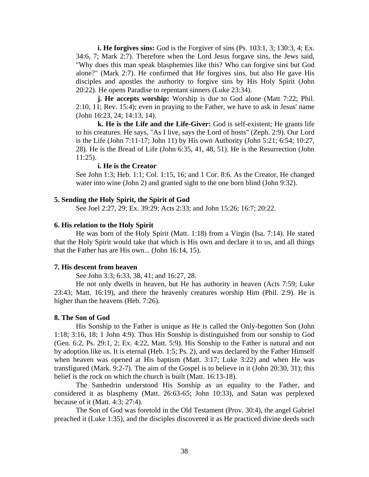**i. He forgives sins:** God is the Forgiver of sins (Ps. 103:1, 3; 130:3, 4; Ex. 34:6, 7; Mark 2:7). Therefore when the Lord Jesus forgave sins, the Jews said, "Why does this man speak blasphemies like this? Who can forgive sins but God alone?" (Mark 2:7). He confirmed that He forgives sins, but also He gave His disciples and apostles the authority to forgive sins by His Holy Spirit (John 20:22). He opens Paradise to repentant sinners (Luke 23:34).

**j. He accepts worship:** Worship is due to God alone (Matt 7:22; Phil. 2:10, 11; Rev. 15:4); even in praying to the Father, we have to ask in Jesus' name (John 16:23, 24; 14:13, 14).

 **k. He is the Life and the Life-Giver:** God is self-existent; He grants life to his creatures. He says, "As I live, says the Lord of hosts" (Zeph. 2:9). Our Lord is the Life (John 7:11-17; John 11) by His own Authority (John 5:21; 6:54; 10:27, 28). He is the Bread of Life (John 6:35, 41, 48, 51). He is the Resurrection (John 11:25).

#### **i. He is the Creator**

See John 1:3; Heb. 1:1; Col. 1:15, 16; and 1 Cor. 8:6. As the Creator, He changed water into wine (John 2) and granted sight to the one born blind (John 9:32).

#### **5. Sending the Holy Spirit, the Spirit of God**

See Joel 2:27, 29; Ex. 39:29; Acts 2:33; and John 15:26; 16:7; 20:22.

#### **6. His relation to the Holy Spirit**

 He was born of the Holy Spirit (Matt. 1:18) from a Virgin (Isa. 7:14). He stated that the Holy Spirit would take that which is His own and declare it to us, and all things that the Father has are His own... (John 16:14, 15).

#### **7. His descent from heaven**

See John 3:3; 6:33, 38, 41; and 16:27, 28.

 He not only dwells in heaven, but He has authority in heaven (Acts 7:59; Luke 23:43; Matt. 16:19), and there the heavenly creatures worship Him (Phil. 2:9). He is higher than the heavens (Heb. 7:26).

#### **8. The Son of God**

 His Sonship to the Father is unique as He is called the Only-begotten Son (John 1:18; 3:16, 18; 1 John 4:9). Thus His Sonship is distinguished from our sonship to God (Gen. 6:2, Ps. 29:1, 2; Ex. 4:22, Matt. 5:9). His Sonship to the Father is natural and not by adoption like us. It is eternal (Heb. 1:5; Ps. 2), and was declared by the Father Himself when heaven was opened at His baptism (Matt. 3:17; Luke 3:22) and when He was transfigured (Mark. 9:2-7). The aim of the Gospel is to believe in it (John 20:30, 31); this belief is the rock on which the church is built (Matt. 16:13-18).

 The Sanhedrin understood His Sonship as an equality to the Father, and considered it as blasphemy (Matt. 26:63-65; John 10:33), and Satan was perplexed because of it (Matt. 4:3; 27:4).

 The Son of God was foretold in the Old Testament (Prov. 30:4), the angel Gabriel preached it (Luke 1:35), and the disciples discovered it as He practiced divine deeds such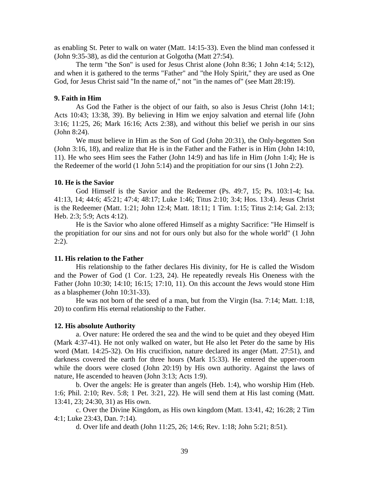as enabling St. Peter to walk on water (Matt. 14:15-33). Even the blind man confessed it (John 9:35-38), as did the centurion at Golgotha (Matt 27:54).

 The term "the Son" is used for Jesus Christ alone (John 8:36; 1 John 4:14; 5:12), and when it is gathered to the terms "Father" and "the Holy Spirit," they are used as One God, for Jesus Christ said "In the name of," not "in the names of" (see Matt 28:19).

#### **9. Faith in Him**

 As God the Father is the object of our faith, so also is Jesus Christ (John 14:1; Acts 10:43; 13:38, 39). By believing in Him we enjoy salvation and eternal life (John 3:16; 11:25, 26; Mark 16:16; Acts 2:38), and without this belief we perish in our sins (John 8:24).

 We must believe in Him as the Son of God (John 20:31), the Only-begotten Son (John 3:16, 18), and realize that He is in the Father and the Father is in Him (John 14:10, 11). He who sees Him sees the Father (John 14:9) and has life in Him (John 1:4); He is the Redeemer of the world (1 John 5:14) and the propitiation for our sins (1 John 2:2).

#### **10. He is the Savior**

 God Himself is the Savior and the Redeemer (Ps. 49:7, 15; Ps. 103:1-4; Isa. 41:13, 14; 44:6; 45:21; 47:4; 48:17; Luke 1:46; Titus 2:10; 3:4; Hos. 13:4). Jesus Christ is the Redeemer (Matt. 1:21; John 12:4; Matt. 18:11; 1 Tim. 1:15; Titus 2:14; Gal. 2:13; Heb. 2:3; 5:9; Acts 4:12).

 He is the Savior who alone offered Himself as a mighty Sacrifice: "He Himself is the propitiation for our sins and not for ours only but also for the whole world" (1 John  $2:2$ ).

#### **11. His relation to the Father**

 His relationship to the father declares His divinity, for He is called the Wisdom and the Power of God (1 Cor. 1:23, 24). He repeatedly reveals His Oneness with the Father (John 10:30; 14:10; 16:15; 17:10, 11). On this account the Jews would stone Him as a blasphemer (John 10:31-33).

 He was not born of the seed of a man, but from the Virgin (Isa. 7:14; Matt. 1:18, 20) to confirm His eternal relationship to the Father.

#### **12. His absolute Authority**

 a. Over nature: He ordered the sea and the wind to be quiet and they obeyed Him (Mark 4:37-41). He not only walked on water, but He also let Peter do the same by His word (Matt. 14:25-32). On His crucifixion, nature declared its anger (Matt. 27:51), and darkness covered the earth for three hours (Mark 15:33). He entered the upper-room while the doors were closed (John 20:19) by His own authority. Against the laws of nature, He ascended to heaven (John 3:13; Acts 1:9).

 b. Over the angels: He is greater than angels (Heb. 1:4), who worship Him (Heb. 1:6; Phil. 2:10; Rev. 5:8; 1 Pet. 3:21, 22). He will send them at His last coming (Matt. 13:41, 23; 24:30, 31) as His own.

 c. Over the Divine Kingdom, as His own kingdom (Matt. 13:41, 42; 16:28; 2 Tim 4:1; Luke 23:43, Dan. 7:14).

d. Over life and death (John 11:25, 26; 14:6; Rev. 1:18; John 5:21; 8:51).